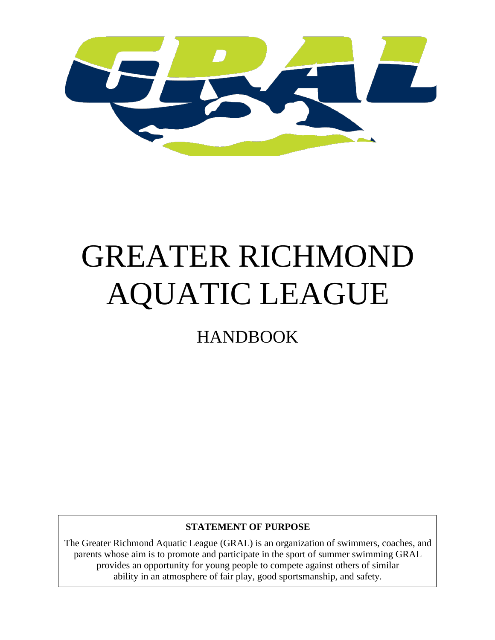

# GREATER RICHMOND AQUATIC LEAGUE

## HANDBOOK

#### **STATEMENT OF PURPOSE**

The Greater Richmond Aquatic League (GRAL) is an organization of swimmers, coaches, and parents whose aim is to promote and participate in the sport of summer swimming GRAL provides an opportunity for young people to compete against others of similar ability in an atmosphere of fair play, good sportsmanship, and safety*.*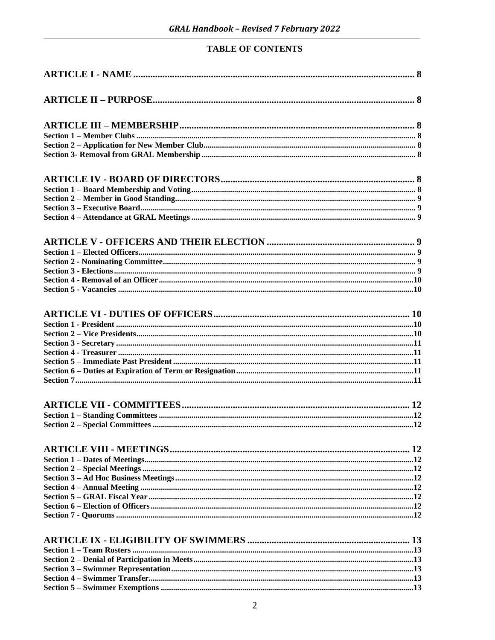#### **TABLE OF CONTENTS**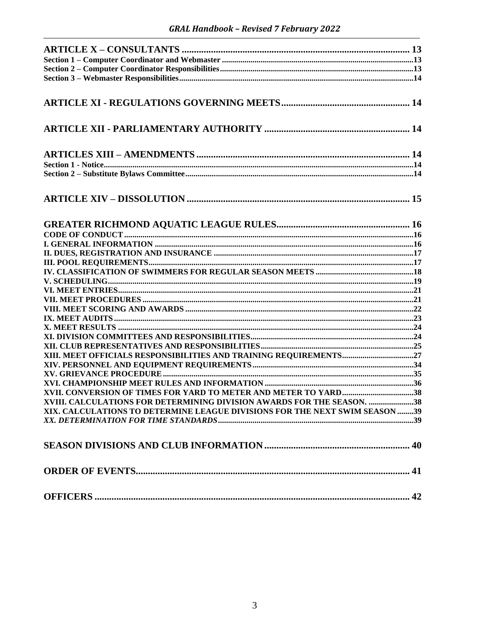| XIII. MEET OFFICIALS RESPONSIBILITIES AND TRAINING REQUIREMENTS27           |  |
|-----------------------------------------------------------------------------|--|
|                                                                             |  |
|                                                                             |  |
|                                                                             |  |
| XVII. CONVERSION OF TIMES FOR YARD TO METER AND METER TO YARD38             |  |
| XVIII. CALCULATIONS FOR DETERMINING DIVISION AWARDS FOR THE SEASON. 38      |  |
| XIX. CALCULATIONS TO DETERMINE LEAGUE DIVISIONS FOR THE NEXT SWIM SEASON 39 |  |
|                                                                             |  |
|                                                                             |  |
|                                                                             |  |
|                                                                             |  |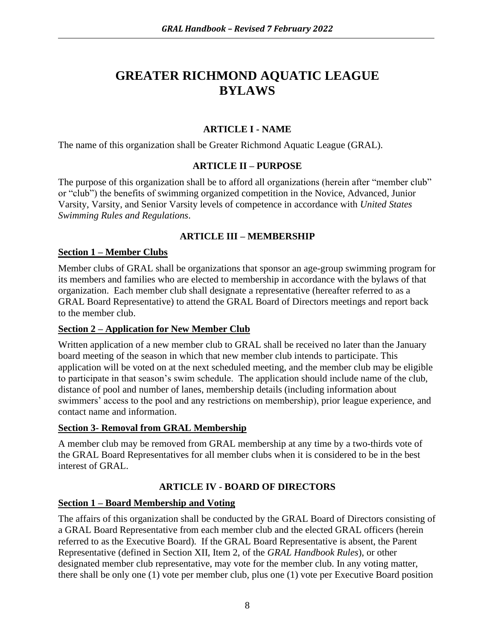### **GREATER RICHMOND AQUATIC LEAGUE BYLAWS**

#### **ARTICLE I - NAME**

The name of this organization shall be Greater Richmond Aquatic League (GRAL).

#### **ARTICLE II – PURPOSE**

The purpose of this organization shall be to afford all organizations (herein after "member club" or "club") the benefits of swimming organized competition in the Novice, Advanced, Junior Varsity, Varsity, and Senior Varsity levels of competence in accordance with *United States Swimming Rules and Regulations*.

#### **ARTICLE III – MEMBERSHIP**

#### **Section 1 – Member Clubs**

Member clubs of GRAL shall be organizations that sponsor an age-group swimming program for its members and families who are elected to membership in accordance with the bylaws of that organization. Each member club shall designate a representative (hereafter referred to as a GRAL Board Representative) to attend the GRAL Board of Directors meetings and report back to the member club.

#### **Section 2 – Application for New Member Club**

Written application of a new member club to GRAL shall be received no later than the January board meeting of the season in which that new member club intends to participate. This application will be voted on at the next scheduled meeting, and the member club may be eligible to participate in that season's swim schedule. The application should include name of the club, distance of pool and number of lanes, membership details (including information about swimmers' access to the pool and any restrictions on membership), prior league experience, and contact name and information.

#### **Section 3- Removal from GRAL Membership**

A member club may be removed from GRAL membership at any time by a two-thirds vote of the GRAL Board Representatives for all member clubs when it is considered to be in the best interest of GRAL.

#### **ARTICLE IV - BOARD OF DIRECTORS**

#### **Section 1 – Board Membership and Voting**

The affairs of this organization shall be conducted by the GRAL Board of Directors consisting of a GRAL Board Representative from each member club and the elected GRAL officers (herein referred to as the Executive Board). If the GRAL Board Representative is absent, the Parent Representative (defined in Section XII, Item 2, of the *GRAL Handbook Rules*), or other designated member club representative, may vote for the member club. In any voting matter, there shall be only one (1) vote per member club, plus one (1) vote per Executive Board position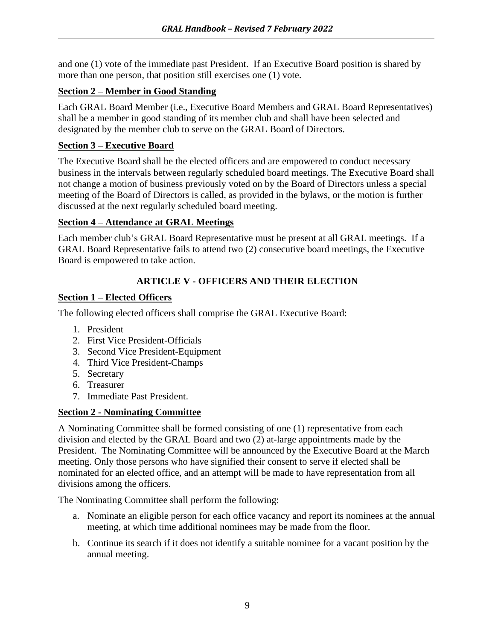and one (1) vote of the immediate past President. If an Executive Board position is shared by more than one person, that position still exercises one (1) vote.

#### **Section 2 – Member in Good Standing**

Each GRAL Board Member (i.e., Executive Board Members and GRAL Board Representatives) shall be a member in good standing of its member club and shall have been selected and designated by the member club to serve on the GRAL Board of Directors.

#### **Section 3 – Executive Board**

The Executive Board shall be the elected officers and are empowered to conduct necessary business in the intervals between regularly scheduled board meetings. The Executive Board shall not change a motion of business previously voted on by the Board of Directors unless a special meeting of the Board of Directors is called, as provided in the bylaws, or the motion is further discussed at the next regularly scheduled board meeting.

#### **Section 4 – Attendance at GRAL Meetings**

Each member club's GRAL Board Representative must be present at all GRAL meetings. If a GRAL Board Representative fails to attend two (2) consecutive board meetings, the Executive Board is empowered to take action.

#### **ARTICLE V - OFFICERS AND THEIR ELECTION**

#### **Section 1 – Elected Officers**

The following elected officers shall comprise the GRAL Executive Board:

- 1. President
- 2. First Vice President-Officials
- 3. Second Vice President-Equipment
- 4. Third Vice President-Champs
- 5. Secretary
- 6. Treasurer
- 7. Immediate Past President.

#### **Section 2 - Nominating Committee**

A Nominating Committee shall be formed consisting of one (1) representative from each division and elected by the GRAL Board and two (2) at-large appointments made by the President. The Nominating Committee will be announced by the Executive Board at the March meeting. Only those persons who have signified their consent to serve if elected shall be nominated for an elected office, and an attempt will be made to have representation from all divisions among the officers.

The Nominating Committee shall perform the following:

- a. Nominate an eligible person for each office vacancy and report its nominees at the annual meeting, at which time additional nominees may be made from the floor.
- b. Continue its search if it does not identify a suitable nominee for a vacant position by the annual meeting.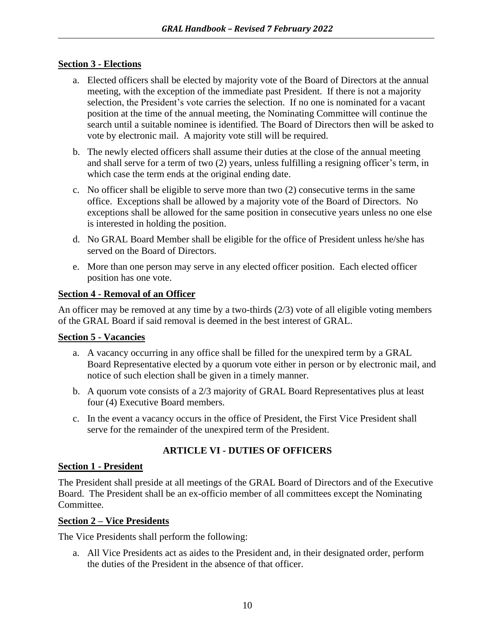#### **Section 3 - Elections**

- a. Elected officers shall be elected by majority vote of the Board of Directors at the annual meeting, with the exception of the immediate past President. If there is not a majority selection, the President's vote carries the selection. If no one is nominated for a vacant position at the time of the annual meeting, the Nominating Committee will continue the search until a suitable nominee is identified. The Board of Directors then will be asked to vote by electronic mail. A majority vote still will be required.
- b. The newly elected officers shall assume their duties at the close of the annual meeting and shall serve for a term of two (2) years, unless fulfilling a resigning officer's term, in which case the term ends at the original ending date.
- c. No officer shall be eligible to serve more than two (2) consecutive terms in the same office. Exceptions shall be allowed by a majority vote of the Board of Directors. No exceptions shall be allowed for the same position in consecutive years unless no one else is interested in holding the position.
- d. No GRAL Board Member shall be eligible for the office of President unless he/she has served on the Board of Directors.
- e. More than one person may serve in any elected officer position. Each elected officer position has one vote.

#### **Section 4 - Removal of an Officer**

An officer may be removed at any time by a two-thirds (2/3) vote of all eligible voting members of the GRAL Board if said removal is deemed in the best interest of GRAL.

#### **Section 5 - Vacancies**

- a. A vacancy occurring in any office shall be filled for the unexpired term by a GRAL Board Representative elected by a quorum vote either in person or by electronic mail, and notice of such election shall be given in a timely manner.
- b. A quorum vote consists of a 2/3 majority of GRAL Board Representatives plus at least four (4) Executive Board members.
- c. In the event a vacancy occurs in the office of President, the First Vice President shall serve for the remainder of the unexpired term of the President.

#### **ARTICLE VI - DUTIES OF OFFICERS**

#### **Section 1 - President**

The President shall preside at all meetings of the GRAL Board of Directors and of the Executive Board. The President shall be an ex-officio member of all committees except the Nominating Committee.

#### **Section 2 – Vice Presidents**

The Vice Presidents shall perform the following:

a. All Vice Presidents act as aides to the President and, in their designated order, perform the duties of the President in the absence of that officer.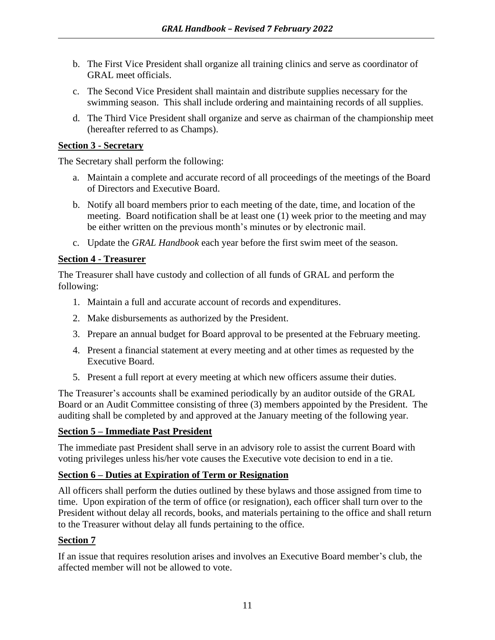- b. The First Vice President shall organize all training clinics and serve as coordinator of GRAL meet officials.
- c. The Second Vice President shall maintain and distribute supplies necessary for the swimming season. This shall include ordering and maintaining records of all supplies.
- d. The Third Vice President shall organize and serve as chairman of the championship meet (hereafter referred to as Champs).

#### **Section 3 - Secretary**

The Secretary shall perform the following:

- a. Maintain a complete and accurate record of all proceedings of the meetings of the Board of Directors and Executive Board.
- b. Notify all board members prior to each meeting of the date, time, and location of the meeting. Board notification shall be at least one (1) week prior to the meeting and may be either written on the previous month's minutes or by electronic mail.
- c. Update the *GRAL Handbook* each year before the first swim meet of the season.

#### **Section 4 - Treasurer**

The Treasurer shall have custody and collection of all funds of GRAL and perform the following:

- 1. Maintain a full and accurate account of records and expenditures.
- 2. Make disbursements as authorized by the President.
- 3. Prepare an annual budget for Board approval to be presented at the February meeting.
- 4. Present a financial statement at every meeting and at other times as requested by the Executive Board.
- 5. Present a full report at every meeting at which new officers assume their duties.

The Treasurer's accounts shall be examined periodically by an auditor outside of the GRAL Board or an Audit Committee consisting of three (3) members appointed by the President. The auditing shall be completed by and approved at the January meeting of the following year.

#### **Section 5 – Immediate Past President**

The immediate past President shall serve in an advisory role to assist the current Board with voting privileges unless his/her vote causes the Executive vote decision to end in a tie.

#### **Section 6 – Duties at Expiration of Term or Resignation**

All officers shall perform the duties outlined by these bylaws and those assigned from time to time. Upon expiration of the term of office (or resignation), each officer shall turn over to the President without delay all records, books, and materials pertaining to the office and shall return to the Treasurer without delay all funds pertaining to the office.

#### **Section 7**

If an issue that requires resolution arises and involves an Executive Board member's club, the affected member will not be allowed to vote.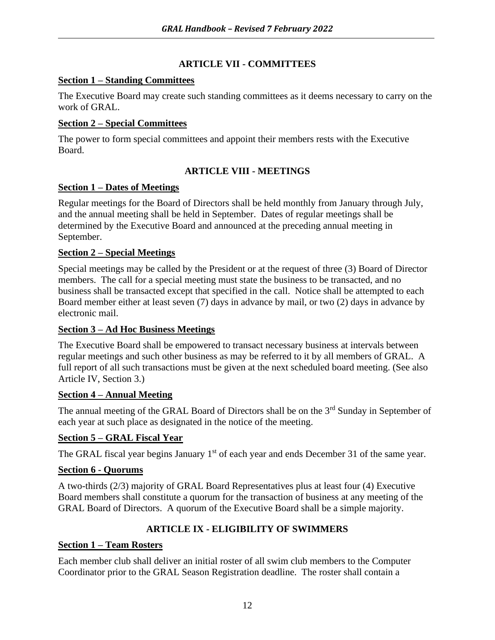#### **ARTICLE VII - COMMITTEES**

#### **Section 1 – Standing Committees**

The Executive Board may create such standing committees as it deems necessary to carry on the work of GRAL.

#### **Section 2 – Special Committees**

The power to form special committees and appoint their members rests with the Executive Board.

#### **ARTICLE VIII - MEETINGS**

#### **Section 1 – Dates of Meetings**

Regular meetings for the Board of Directors shall be held monthly from January through July, and the annual meeting shall be held in September. Dates of regular meetings shall be determined by the Executive Board and announced at the preceding annual meeting in September.

#### **Section 2 – Special Meetings**

Special meetings may be called by the President or at the request of three (3) Board of Director members. The call for a special meeting must state the business to be transacted, and no business shall be transacted except that specified in the call. Notice shall be attempted to each Board member either at least seven (7) days in advance by mail, or two (2) days in advance by electronic mail.

#### **Section 3 – Ad Hoc Business Meetings**

The Executive Board shall be empowered to transact necessary business at intervals between regular meetings and such other business as may be referred to it by all members of GRAL. A full report of all such transactions must be given at the next scheduled board meeting. (See also Article IV, Section 3.)

#### **Section 4 – Annual Meeting**

The annual meeting of the GRAL Board of Directors shall be on the 3<sup>rd</sup> Sunday in September of each year at such place as designated in the notice of the meeting.

#### **Section 5 – GRAL Fiscal Year**

The GRAL fiscal year begins January  $1<sup>st</sup>$  of each year and ends December 31 of the same year.

#### **Section 6 - Quorums**

A two-thirds (2/3) majority of GRAL Board Representatives plus at least four (4) Executive Board members shall constitute a quorum for the transaction of business at any meeting of the GRAL Board of Directors. A quorum of the Executive Board shall be a simple majority.

#### **ARTICLE IX - ELIGIBILITY OF SWIMMERS**

#### **Section 1 – Team Rosters**

Each member club shall deliver an initial roster of all swim club members to the Computer Coordinator prior to the GRAL Season Registration deadline. The roster shall contain a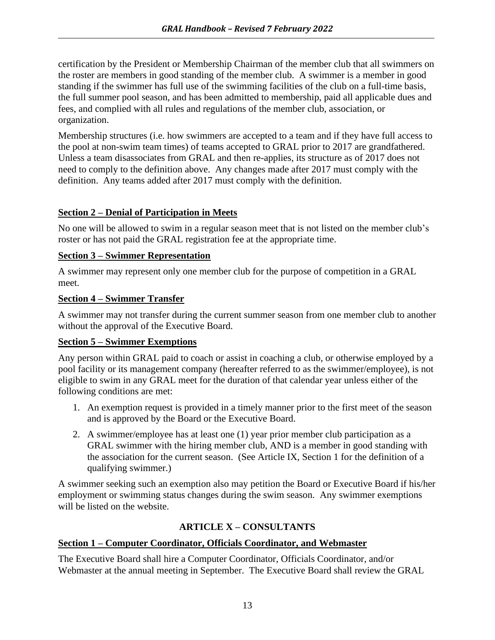certification by the President or Membership Chairman of the member club that all swimmers on the roster are members in good standing of the member club. A swimmer is a member in good standing if the swimmer has full use of the swimming facilities of the club on a full-time basis, the full summer pool season, and has been admitted to membership, paid all applicable dues and fees, and complied with all rules and regulations of the member club, association, or organization.

Membership structures (i.e. how swimmers are accepted to a team and if they have full access to the pool at non-swim team times) of teams accepted to GRAL prior to 2017 are grandfathered. Unless a team disassociates from GRAL and then re-applies, its structure as of 2017 does not need to comply to the definition above. Any changes made after 2017 must comply with the definition. Any teams added after 2017 must comply with the definition.

#### **Section 2 – Denial of Participation in Meets**

No one will be allowed to swim in a regular season meet that is not listed on the member club's roster or has not paid the GRAL registration fee at the appropriate time.

#### **Section 3 – Swimmer Representation**

A swimmer may represent only one member club for the purpose of competition in a GRAL meet.

#### **Section 4 – Swimmer Transfer**

A swimmer may not transfer during the current summer season from one member club to another without the approval of the Executive Board.

#### **Section 5 – Swimmer Exemptions**

Any person within GRAL paid to coach or assist in coaching a club, or otherwise employed by a pool facility or its management company (hereafter referred to as the swimmer/employee), is not eligible to swim in any GRAL meet for the duration of that calendar year unless either of the following conditions are met:

- 1. An exemption request is provided in a timely manner prior to the first meet of the season and is approved by the Board or the Executive Board.
- 2. A swimmer/employee has at least one (1) year prior member club participation as a GRAL swimmer with the hiring member club, AND is a member in good standing with the association for the current season. (See Article IX, Section 1 for the definition of a qualifying swimmer.)

A swimmer seeking such an exemption also may petition the Board or Executive Board if his/her employment or swimming status changes during the swim season. Any swimmer exemptions will be listed on the website.

#### **ARTICLE X – CONSULTANTS**

#### **Section 1 – Computer Coordinator, Officials Coordinator, and Webmaster**

The Executive Board shall hire a Computer Coordinator, Officials Coordinator, and/or Webmaster at the annual meeting in September. The Executive Board shall review the GRAL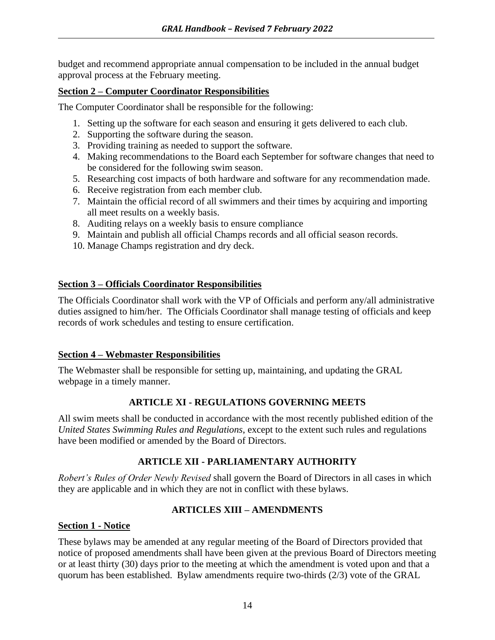budget and recommend appropriate annual compensation to be included in the annual budget approval process at the February meeting.

#### **Section 2 – Computer Coordinator Responsibilities**

The Computer Coordinator shall be responsible for the following:

- 1. Setting up the software for each season and ensuring it gets delivered to each club.
- 2. Supporting the software during the season.
- 3. Providing training as needed to support the software.
- 4. Making recommendations to the Board each September for software changes that need to be considered for the following swim season.
- 5. Researching cost impacts of both hardware and software for any recommendation made.
- 6. Receive registration from each member club.
- 7. Maintain the official record of all swimmers and their times by acquiring and importing all meet results on a weekly basis.
- 8. Auditing relays on a weekly basis to ensure compliance
- 9. Maintain and publish all official Champs records and all official season records.
- 10. Manage Champs registration and dry deck.

#### **Section 3 – Officials Coordinator Responsibilities**

The Officials Coordinator shall work with the VP of Officials and perform any/all administrative duties assigned to him/her. The Officials Coordinator shall manage testing of officials and keep records of work schedules and testing to ensure certification.

#### **Section 4 – Webmaster Responsibilities**

The Webmaster shall be responsible for setting up, maintaining, and updating the GRAL webpage in a timely manner.

#### **ARTICLE XI - REGULATIONS GOVERNING MEETS**

All swim meets shall be conducted in accordance with the most recently published edition of the *United States Swimming Rules and Regulations*, except to the extent such rules and regulations have been modified or amended by the Board of Directors.

#### **ARTICLE XII - PARLIAMENTARY AUTHORITY**

*Robert's Rules of Order Newly Revised* shall govern the Board of Directors in all cases in which they are applicable and in which they are not in conflict with these bylaws.

#### **ARTICLES XIII – AMENDMENTS**

#### **Section 1 - Notice**

These bylaws may be amended at any regular meeting of the Board of Directors provided that notice of proposed amendments shall have been given at the previous Board of Directors meeting or at least thirty (30) days prior to the meeting at which the amendment is voted upon and that a quorum has been established. Bylaw amendments require two-thirds (2/3) vote of the GRAL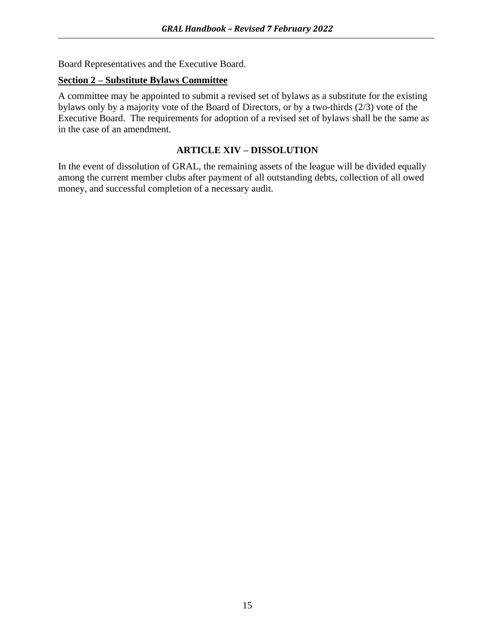Board Representatives and the Executive Board.

#### **Section 2 – Substitute Bylaws Committee**

A committee may be appointed to submit a revised set of bylaws as a substitute for the existing bylaws only by a majority vote of the Board of Directors, or by a two-thirds (2/3) vote of the Executive Board. The requirements for adoption of a revised set of bylaws shall be the same as in the case of an amendment.

#### **ARTICLE XIV – DISSOLUTION**

In the event of dissolution of GRAL, the remaining assets of the league will be divided equally among the current member clubs after payment of all outstanding debts, collection of all owed money, and successful completion of a necessary audit.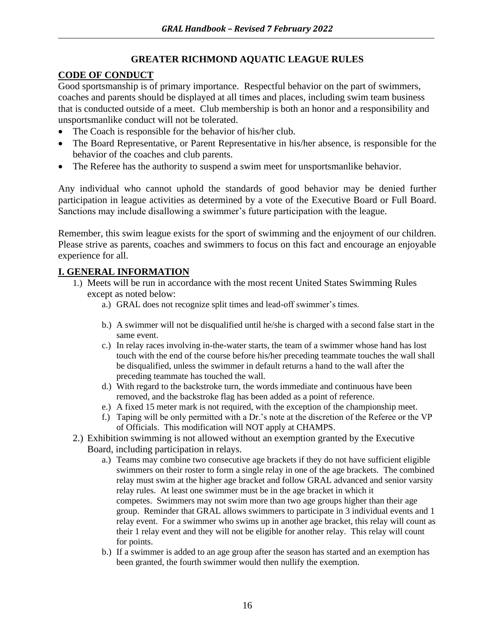#### **GREATER RICHMOND AQUATIC LEAGUE RULES**

#### **CODE OF CONDUCT**

Good sportsmanship is of primary importance. Respectful behavior on the part of swimmers, coaches and parents should be displayed at all times and places, including swim team business that is conducted outside of a meet. Club membership is both an honor and a responsibility and unsportsmanlike conduct will not be tolerated.

- The Coach is responsible for the behavior of his/her club.
- The Board Representative, or Parent Representative in his/her absence, is responsible for the behavior of the coaches and club parents.
- The Referee has the authority to suspend a swim meet for unsportsmanlike behavior.

Any individual who cannot uphold the standards of good behavior may be denied further participation in league activities as determined by a vote of the Executive Board or Full Board. Sanctions may include disallowing a swimmer's future participation with the league.

Remember, this swim league exists for the sport of swimming and the enjoyment of our children. Please strive as parents, coaches and swimmers to focus on this fact and encourage an enjoyable experience for all.

#### **I. GENERAL INFORMATION**

- 1.) Meets will be run in accordance with the most recent United States Swimming Rules except as noted below:
	- a.) GRAL does not recognize split times and lead-off swimmer's times.
	- b.) A swimmer will not be disqualified until he/she is charged with a second false start in the same event.
	- c.) In relay races involving in-the-water starts, the team of a swimmer whose hand has lost touch with the end of the course before his/her preceding teammate touches the wall shall be disqualified, unless the swimmer in default returns a hand to the wall after the preceding teammate has touched the wall.
	- d.) With regard to the backstroke turn, the words immediate and continuous have been removed, and the backstroke flag has been added as a point of reference.
	- e.) A fixed 15 meter mark is not required, with the exception of the championship meet.
	- f.) Taping will be only permitted with a Dr.'s note at the discretion of the Referee or the VP of Officials. This modification will NOT apply at CHAMPS.
- 2.) Exhibition swimming is not allowed without an exemption granted by the Executive Board, including participation in relays.
	- a.) Teams may combine two consecutive age brackets if they do not have sufficient eligible swimmers on their roster to form a single relay in one of the age brackets. The combined relay must swim at the higher age bracket and follow GRAL advanced and senior varsity relay rules. At least one swimmer must be in the age bracket in which it competes. Swimmers may not swim more than two age groups higher than their age group. Reminder that GRAL allows swimmers to participate in 3 individual events and 1 relay event. For a swimmer who swims up in another age bracket, this relay will count as their 1 relay event and they will not be eligible for another relay. This relay will count for points.
	- b.) If a swimmer is added to an age group after the season has started and an exemption has been granted, the fourth swimmer would then nullify the exemption.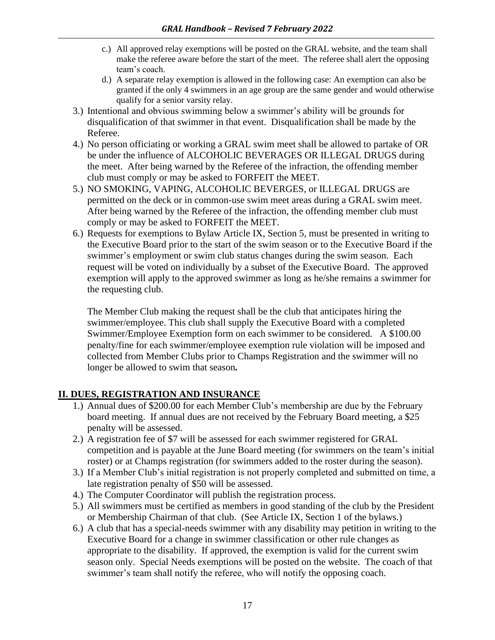- c.) All approved relay exemptions will be posted on the GRAL website, and the team shall make the referee aware before the start of the meet. The referee shall alert the opposing team's coach.
- d.) A separate relay exemption is allowed in the following case: An exemption can also be granted if the only 4 swimmers in an age group are the same gender and would otherwise qualify for a senior varsity relay.
- 3.) Intentional and obvious swimming below a swimmer's ability will be grounds for disqualification of that swimmer in that event. Disqualification shall be made by the Referee.
- 4.) No person officiating or working a GRAL swim meet shall be allowed to partake of OR be under the influence of ALCOHOLIC BEVERAGES OR ILLEGAL DRUGS during the meet. After being warned by the Referee of the infraction, the offending member club must comply or may be asked to FORFEIT the MEET.
- 5.) NO SMOKING, VAPING, ALCOHOLIC BEVERGES, or ILLEGAL DRUGS are permitted on the deck or in common-use swim meet areas during a GRAL swim meet. After being warned by the Referee of the infraction, the offending member club must comply or may be asked to FORFEIT the MEET.
- 6.) Requests for exemptions to Bylaw Article IX, Section 5, must be presented in writing to the Executive Board prior to the start of the swim season or to the Executive Board if the swimmer's employment or swim club status changes during the swim season. Each request will be voted on individually by a subset of the Executive Board. The approved exemption will apply to the approved swimmer as long as he/she remains a swimmer for the requesting club.

The Member Club making the request shall be the club that anticipates hiring the swimmer/employee. This club shall supply the Executive Board with a completed Swimmer/Employee Exemption form on each swimmer to be considered. A \$100.00 penalty/fine for each swimmer/employee exemption rule violation will be imposed and collected from Member Clubs prior to Champs Registration and the swimmer will no longer be allowed to swim that season*.*

#### **II. DUES, REGISTRATION AND INSURANCE**

- 1.) Annual dues of \$200.00 for each Member Club's membership are due by the February board meeting. If annual dues are not received by the February Board meeting, a \$25 penalty will be assessed.
- 2.) A registration fee of \$7 will be assessed for each swimmer registered for GRAL competition and is payable at the June Board meeting (for swimmers on the team's initial roster) or at Champs registration (for swimmers added to the roster during the season).
- 3.) If a Member Club's initial registration is not properly completed and submitted on time, a late registration penalty of \$50 will be assessed.
- 4.) The Computer Coordinator will publish the registration process.
- 5.) All swimmers must be certified as members in good standing of the club by the President or Membership Chairman of that club. (See Article IX, Section 1 of the bylaws.)
- 6.) A club that has a special-needs swimmer with any disability may petition in writing to the Executive Board for a change in swimmer classification or other rule changes as appropriate to the disability. If approved, the exemption is valid for the current swim season only. Special Needs exemptions will be posted on the website. The coach of that swimmer's team shall notify the referee, who will notify the opposing coach.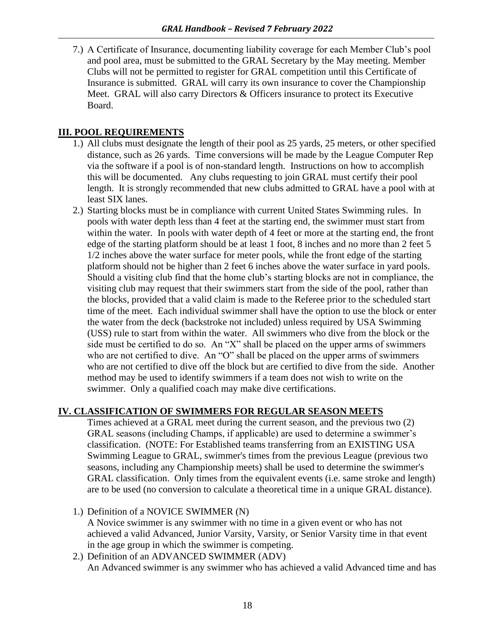7.) A Certificate of Insurance, documenting liability coverage for each Member Club's pool and pool area, must be submitted to the GRAL Secretary by the May meeting. Member Clubs will not be permitted to register for GRAL competition until this Certificate of Insurance is submitted. GRAL will carry its own insurance to cover the Championship Meet. GRAL will also carry Directors & Officers insurance to protect its Executive Board.

#### **III. POOL REQUIREMENTS**

- 1.) All clubs must designate the length of their pool as 25 yards, 25 meters, or other specified distance, such as 26 yards. Time conversions will be made by the League Computer Rep via the software if a pool is of non-standard length. Instructions on how to accomplish this will be documented. Any clubs requesting to join GRAL must certify their pool length. It is strongly recommended that new clubs admitted to GRAL have a pool with at least SIX lanes.
- 2.) Starting blocks must be in compliance with current United States Swimming rules. In pools with water depth less than 4 feet at the starting end, the swimmer must start from within the water. In pools with water depth of 4 feet or more at the starting end, the front edge of the starting platform should be at least 1 foot, 8 inches and no more than 2 feet 5 1/2 inches above the water surface for meter pools, while the front edge of the starting platform should not be higher than 2 feet 6 inches above the water surface in yard pools. Should a visiting club find that the home club's starting blocks are not in compliance, the visiting club may request that their swimmers start from the side of the pool, rather than the blocks, provided that a valid claim is made to the Referee prior to the scheduled start time of the meet. Each individual swimmer shall have the option to use the block or enter the water from the deck (backstroke not included) unless required by USA Swimming (USS) rule to start from within the water. All swimmers who dive from the block or the side must be certified to do so. An "X" shall be placed on the upper arms of swimmers who are not certified to dive. An "O" shall be placed on the upper arms of swimmers who are not certified to dive off the block but are certified to dive from the side. Another method may be used to identify swimmers if a team does not wish to write on the swimmer. Only a qualified coach may make dive certifications.

#### **IV. CLASSIFICATION OF SWIMMERS FOR REGULAR SEASON MEETS**

Times achieved at a GRAL meet during the current season, and the previous two (2) GRAL seasons (including Champs, if applicable) are used to determine a swimmer's classification. (NOTE: For Established teams transferring from an EXISTING USA Swimming League to GRAL, swimmer's times from the previous League (previous two seasons, including any Championship meets) shall be used to determine the swimmer's GRAL classification. Only times from the equivalent events (i.e. same stroke and length) are to be used (no conversion to calculate a theoretical time in a unique GRAL distance).

- 1.) Definition of a NOVICE SWIMMER (N) A Novice swimmer is any swimmer with no time in a given event or who has not achieved a valid Advanced, Junior Varsity, Varsity, or Senior Varsity time in that event in the age group in which the swimmer is competing.
- 2.) Definition of an ADVANCED SWIMMER (ADV) An Advanced swimmer is any swimmer who has achieved a valid Advanced time and has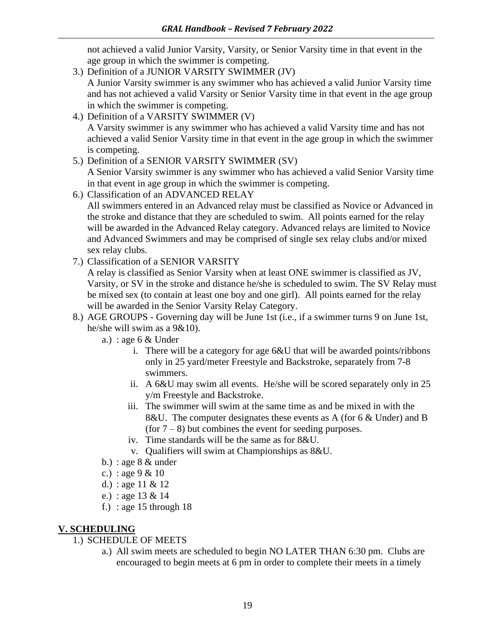not achieved a valid Junior Varsity, Varsity, or Senior Varsity time in that event in the age group in which the swimmer is competing.

- 3.) Definition of a JUNIOR VARSITY SWIMMER (JV) A Junior Varsity swimmer is any swimmer who has achieved a valid Junior Varsity time and has not achieved a valid Varsity or Senior Varsity time in that event in the age group in which the swimmer is competing.
- 4.) Definition of a VARSITY SWIMMER (V) A Varsity swimmer is any swimmer who has achieved a valid Varsity time and has not achieved a valid Senior Varsity time in that event in the age group in which the swimmer is competing.
- 5.) Definition of a SENIOR VARSITY SWIMMER (SV)

A Senior Varsity swimmer is any swimmer who has achieved a valid Senior Varsity time in that event in age group in which the swimmer is competing.

6.) Classification of an ADVANCED RELAY

All swimmers entered in an Advanced relay must be classified as Novice or Advanced in the stroke and distance that they are scheduled to swim. All points earned for the relay will be awarded in the Advanced Relay category. Advanced relays are limited to Novice and Advanced Swimmers and may be comprised of single sex relay clubs and/or mixed sex relay clubs.

7.) Classification of a SENIOR VARSITY

A relay is classified as Senior Varsity when at least ONE swimmer is classified as JV, Varsity, or SV in the stroke and distance he/she is scheduled to swim. The SV Relay must be mixed sex (to contain at least one boy and one girl). All points earned for the relay will be awarded in the Senior Varsity Relay Category.

- 8.) AGE GROUPS Governing day will be June 1st (i.e., if a swimmer turns 9 on June 1st, he/she will swim as a 9&10).
	- a.) : age  $6 &$  Under
		- i. There will be a category for age 6&U that will be awarded points/ribbons only in 25 yard/meter Freestyle and Backstroke, separately from 7-8 swimmers.
		- ii. A 6&U may swim all events. He/she will be scored separately only in 25 y/m Freestyle and Backstroke.
		- iii. The swimmer will swim at the same time as and be mixed in with the 8&U. The computer designates these events as A (for 6 & Under) and B (for  $7 - 8$ ) but combines the event for seeding purposes.
		- iv. Time standards will be the same as for 8&U.
		- v. Qualifiers will swim at Championships as 8&U.
	- b.) : age  $8 &$  under
	- c.) : age 9 & 10
	- d.) : age 11 & 12
	- e.) : age 13 & 14
	- f.) : age 15 through  $18$

#### **V. SCHEDULING**

- 1.) SCHEDULE OF MEETS
	- a.) All swim meets are scheduled to begin NO LATER THAN 6:30 pm. Clubs are encouraged to begin meets at 6 pm in order to complete their meets in a timely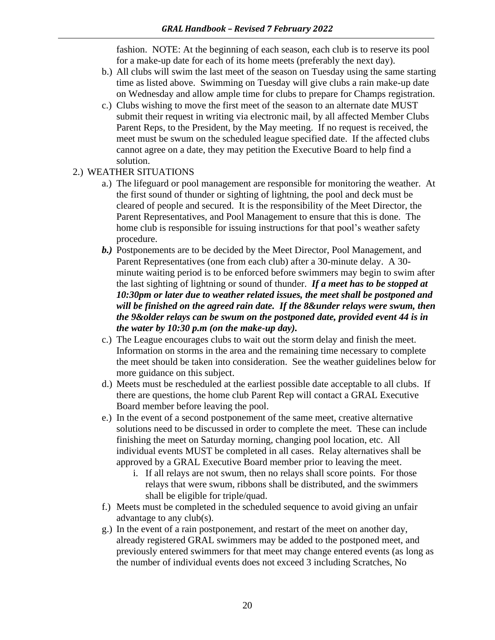fashion. NOTE: At the beginning of each season, each club is to reserve its pool for a make-up date for each of its home meets (preferably the next day).

- b.) All clubs will swim the last meet of the season on Tuesday using the same starting time as listed above. Swimming on Tuesday will give clubs a rain make-up date on Wednesday and allow ample time for clubs to prepare for Champs registration.
- c.) Clubs wishing to move the first meet of the season to an alternate date MUST submit their request in writing via electronic mail, by all affected Member Clubs Parent Reps, to the President, by the May meeting. If no request is received, the meet must be swum on the scheduled league specified date. If the affected clubs cannot agree on a date, they may petition the Executive Board to help find a solution.
- 2.) WEATHER SITUATIONS
	- a.) The lifeguard or pool management are responsible for monitoring the weather. At the first sound of thunder or sighting of lightning, the pool and deck must be cleared of people and secured. It is the responsibility of the Meet Director, the Parent Representatives, and Pool Management to ensure that this is done. The home club is responsible for issuing instructions for that pool's weather safety procedure.
	- *b.)* Postponements are to be decided by the Meet Director, Pool Management, and Parent Representatives (one from each club) after a 30-minute delay. A 30 minute waiting period is to be enforced before swimmers may begin to swim after the last sighting of lightning or sound of thunder. *If a meet has to be stopped at 10:30pm or later due to weather related issues, the meet shall be postponed and will be finished on the agreed rain date. If the 8&under relays were swum, then the 9&older relays can be swum on the postponed date, provided event 44 is in the water by 10:30 p.m (on the make-up day).*
	- c.) The League encourages clubs to wait out the storm delay and finish the meet. Information on storms in the area and the remaining time necessary to complete the meet should be taken into consideration. See the weather guidelines below for more guidance on this subject.
	- d.) Meets must be rescheduled at the earliest possible date acceptable to all clubs. If there are questions, the home club Parent Rep will contact a GRAL Executive Board member before leaving the pool.
	- e.) In the event of a second postponement of the same meet, creative alternative solutions need to be discussed in order to complete the meet. These can include finishing the meet on Saturday morning, changing pool location, etc. All individual events MUST be completed in all cases. Relay alternatives shall be approved by a GRAL Executive Board member prior to leaving the meet.
		- i. If all relays are not swum, then no relays shall score points. For those relays that were swum, ribbons shall be distributed, and the swimmers shall be eligible for triple/quad.
	- f.) Meets must be completed in the scheduled sequence to avoid giving an unfair advantage to any club(s).
	- g.) In the event of a rain postponement, and restart of the meet on another day, already registered GRAL swimmers may be added to the postponed meet, and previously entered swimmers for that meet may change entered events (as long as the number of individual events does not exceed 3 including Scratches, No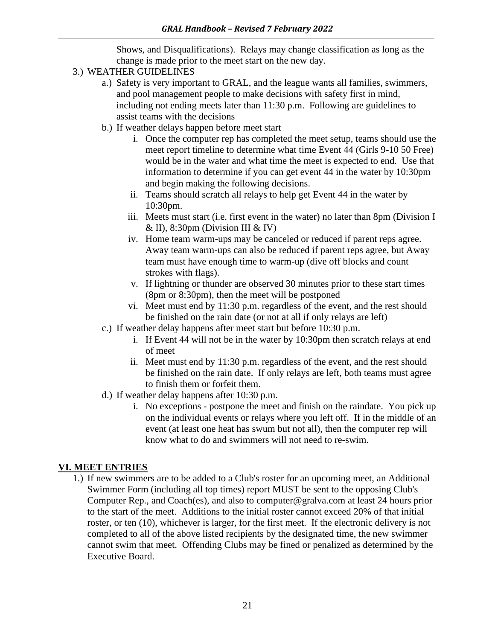Shows, and Disqualifications). Relays may change classification as long as the change is made prior to the meet start on the new day.

- 3.) WEATHER GUIDELINES
	- a.) Safety is very important to GRAL, and the league wants all families, swimmers, and pool management people to make decisions with safety first in mind, including not ending meets later than 11:30 p.m. Following are guidelines to assist teams with the decisions
	- b.) If weather delays happen before meet start
		- i. Once the computer rep has completed the meet setup, teams should use the meet report timeline to determine what time Event 44 (Girls 9-10 50 Free) would be in the water and what time the meet is expected to end. Use that information to determine if you can get event 44 in the water by 10:30pm and begin making the following decisions.
		- ii. Teams should scratch all relays to help get Event 44 in the water by 10:30pm.
		- iii. Meets must start (i.e. first event in the water) no later than 8pm (Division I  $&$  II), 8:30pm (Division III  $&$  IV)
		- iv. Home team warm-ups may be canceled or reduced if parent reps agree. Away team warm-ups can also be reduced if parent reps agree, but Away team must have enough time to warm-up (dive off blocks and count strokes with flags).
		- v. If lightning or thunder are observed 30 minutes prior to these start times (8pm or 8:30pm), then the meet will be postponed
		- vi. Meet must end by 11:30 p.m. regardless of the event, and the rest should be finished on the rain date (or not at all if only relays are left)
	- c.) If weather delay happens after meet start but before 10:30 p.m.
		- i. If Event 44 will not be in the water by 10:30pm then scratch relays at end of meet
		- ii. Meet must end by 11:30 p.m. regardless of the event, and the rest should be finished on the rain date. If only relays are left, both teams must agree to finish them or forfeit them.
	- d.) If weather delay happens after 10:30 p.m.
		- i. No exceptions postpone the meet and finish on the raindate. You pick up on the individual events or relays where you left off. If in the middle of an event (at least one heat has swum but not all), then the computer rep will know what to do and swimmers will not need to re-swim.

#### **VI. MEET ENTRIES**

1.) If new swimmers are to be added to a Club's roster for an upcoming meet, an Additional Swimmer Form (including all top times) report MUST be sent to the opposing Club's Computer Rep., and Coach(es), and also to [computer@gralva.com](mailto:computer@gralva.com) at least 24 hours prior to the start of the meet. Additions to the initial roster cannot exceed 20% of that initial roster, or ten (10), whichever is larger, for the first meet. If the electronic delivery is not completed to all of the above listed recipients by the designated time, the new swimmer cannot swim that meet. Offending Clubs may be fined or penalized as determined by the Executive Board.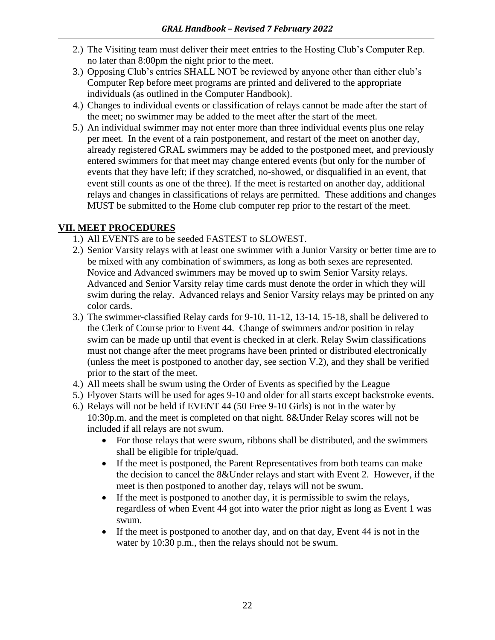- 2.) The Visiting team must deliver their meet entries to the Hosting Club's Computer Rep. no later than 8:00pm the night prior to the meet.
- 3.) Opposing Club's entries SHALL NOT be reviewed by anyone other than either club's Computer Rep before meet programs are printed and delivered to the appropriate individuals (as outlined in the Computer Handbook).
- 4.) Changes to individual events or classification of relays cannot be made after the start of the meet; no swimmer may be added to the meet after the start of the meet.
- 5.) An individual swimmer may not enter more than three individual events plus one relay per meet. In the event of a rain postponement, and restart of the meet on another day, already registered GRAL swimmers may be added to the postponed meet, and previously entered swimmers for that meet may change entered events (but only for the number of events that they have left; if they scratched, no-showed, or disqualified in an event, that event still counts as one of the three). If the meet is restarted on another day, additional relays and changes in classifications of relays are permitted. These additions and changes MUST be submitted to the Home club computer rep prior to the restart of the meet.

#### **VII. MEET PROCEDURES**

- 1.) All EVENTS are to be seeded FASTEST to SLOWEST.
- 2.) Senior Varsity relays with at least one swimmer with a Junior Varsity or better time are to be mixed with any combination of swimmers, as long as both sexes are represented. Novice and Advanced swimmers may be moved up to swim Senior Varsity relays. Advanced and Senior Varsity relay time cards must denote the order in which they will swim during the relay. Advanced relays and Senior Varsity relays may be printed on any color cards.
- 3.) The swimmer-classified Relay cards for 9-10, 11-12, 13-14, 15-18, shall be delivered to the Clerk of Course prior to Event 44. Change of swimmers and/or position in relay swim can be made up until that event is checked in at clerk. Relay Swim classifications must not change after the meet programs have been printed or distributed electronically (unless the meet is postponed to another day, see section V.2), and they shall be verified prior to the start of the meet.
- 4.) All meets shall be swum using the Order of Events as specified by the League
- 5.) Flyover Starts will be used for ages 9-10 and older for all starts except backstroke events.
- 6.) Relays will not be held if EVENT 44 (50 Free 9-10 Girls) is not in the water by 10:30p.m. and the meet is completed on that night. 8&Under Relay scores will not be included if all relays are not swum.
	- For those relays that were swum, ribbons shall be distributed, and the swimmers shall be eligible for triple/quad.
	- If the meet is postponed, the Parent Representatives from both teams can make the decision to cancel the 8&Under relays and start with Event 2. However, if the meet is then postponed to another day, relays will not be swum.
	- If the meet is postponed to another day, it is permissible to swim the relays, regardless of when Event 44 got into water the prior night as long as Event 1 was swum.
	- If the meet is postponed to another day, and on that day, Event 44 is not in the water by 10:30 p.m., then the relays should not be swum.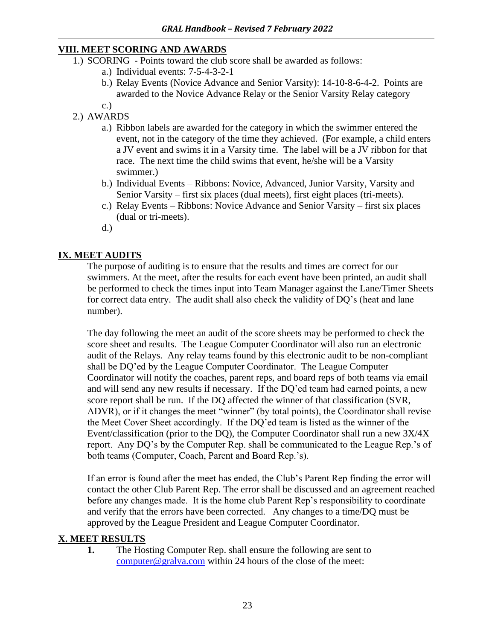#### **VIII. MEET SCORING AND AWARDS**

- 1.) SCORING Points toward the club score shall be awarded as follows:
	- a.) Individual events: 7-5-4-3-2-1
	- b.) Relay Events (Novice Advance and Senior Varsity): 14-10-8-6-4-2. Points are awarded to the Novice Advance Relay or the Senior Varsity Relay category
- c.)
- 2.) AWARDS
	- a.) Ribbon labels are awarded for the category in which the swimmer entered the event, not in the category of the time they achieved. (For example, a child enters a JV event and swims it in a Varsity time. The label will be a JV ribbon for that race. The next time the child swims that event, he/she will be a Varsity swimmer.)
	- b.) Individual Events Ribbons: Novice, Advanced, Junior Varsity, Varsity and Senior Varsity – first six places (dual meets), first eight places (tri-meets).
	- c.) Relay Events Ribbons: Novice Advance and Senior Varsity first six places (dual or tri-meets).
	- d.)

#### **IX. MEET AUDITS**

The purpose of auditing is to ensure that the results and times are correct for our swimmers. At the meet, after the results for each event have been printed, an audit shall be performed to check the times input into Team Manager against the Lane/Timer Sheets for correct data entry. The audit shall also check the validity of DQ's (heat and lane number).

The day following the meet an audit of the score sheets may be performed to check the score sheet and results. The League Computer Coordinator will also run an electronic audit of the Relays. Any relay teams found by this electronic audit to be non-compliant shall be DQ'ed by the League Computer Coordinator. The League Computer Coordinator will notify the coaches, parent reps, and board reps of both teams via email and will send any new results if necessary. If the DQ'ed team had earned points, a new score report shall be run. If the DQ affected the winner of that classification (SVR, ADVR), or if it changes the meet "winner" (by total points), the Coordinator shall revise the Meet Cover Sheet accordingly. If the DQ'ed team is listed as the winner of the Event/classification (prior to the DQ), the Computer Coordinator shall run a new 3X/4X report. Any DQ's by the Computer Rep. shall be communicated to the League Rep.'s of both teams (Computer, Coach, Parent and Board Rep.'s).

If an error is found after the meet has ended, the Club's Parent Rep finding the error will contact the other Club Parent Rep. The error shall be discussed and an agreement reached before any changes made. It is the home club Parent Rep's responsibility to coordinate and verify that the errors have been corrected. Any changes to a time/DQ must be approved by the League President and League Computer Coordinator.

#### **X. MEET RESULTS**

**1.** The Hosting Computer Rep. shall ensure the following are sent to [computer@gralva.com](mailto:computer@gralva.com) within 24 hours of the close of the meet: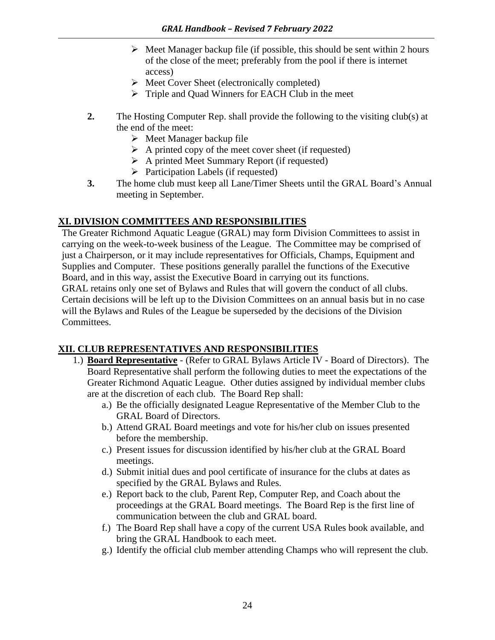- $\triangleright$  Meet Manager backup file (if possible, this should be sent within 2 hours of the close of the meet; preferably from the pool if there is internet access)
- ➢ Meet Cover Sheet (electronically completed)
- ➢ Triple and Quad Winners for EACH Club in the meet
- **2.** The Hosting Computer Rep. shall provide the following to the visiting club(s) at the end of the meet:
	- $\triangleright$  Meet Manager backup file
	- $\triangleright$  A printed copy of the meet cover sheet (if requested)
	- $\triangleright$  A printed Meet Summary Report (if requested)
	- ➢ Participation Labels (if requested)
- **3.** The home club must keep all Lane/Timer Sheets until the GRAL Board's Annual meeting in September.

#### **XI. DIVISION COMMITTEES AND RESPONSIBILITIES**

The Greater Richmond Aquatic League (GRAL) may form Division Committees to assist in carrying on the week-to-week business of the League. The Committee may be comprised of just a Chairperson, or it may include representatives for Officials, Champs, Equipment and Supplies and Computer. These positions generally parallel the functions of the Executive Board, and in this way, assist the Executive Board in carrying out its functions. GRAL retains only one set of Bylaws and Rules that will govern the conduct of all clubs. Certain decisions will be left up to the Division Committees on an annual basis but in no case will the Bylaws and Rules of the League be superseded by the decisions of the Division Committees.

#### **XII. CLUB REPRESENTATIVES AND RESPONSIBILITIES**

- 1.) **Board Representative** (Refer to GRAL Bylaws Article IV Board of Directors). The Board Representative shall perform the following duties to meet the expectations of the Greater Richmond Aquatic League. Other duties assigned by individual member clubs are at the discretion of each club. The Board Rep shall:
	- a.) Be the officially designated League Representative of the Member Club to the GRAL Board of Directors.
	- b.) Attend GRAL Board meetings and vote for his/her club on issues presented before the membership.
	- c.) Present issues for discussion identified by his/her club at the GRAL Board meetings.
	- d.) Submit initial dues and pool certificate of insurance for the clubs at dates as specified by the GRAL Bylaws and Rules.
	- e.) Report back to the club, Parent Rep, Computer Rep, and Coach about the proceedings at the GRAL Board meetings. The Board Rep is the first line of communication between the club and GRAL board.
	- f.) The Board Rep shall have a copy of the current USA Rules book available, and bring the GRAL Handbook to each meet.
	- g.) Identify the official club member attending Champs who will represent the club.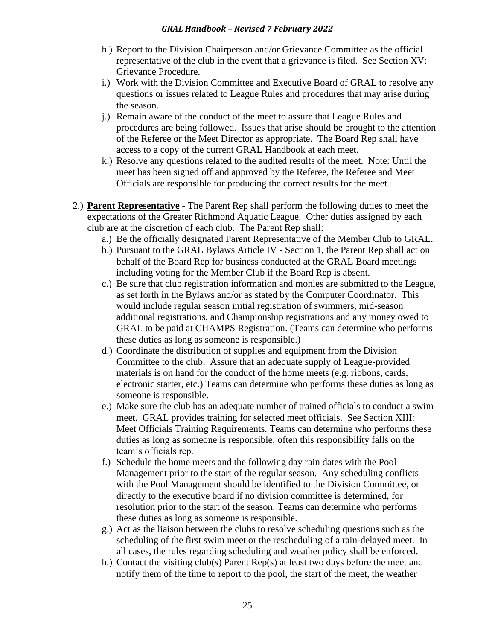- h.) Report to the Division Chairperson and/or Grievance Committee as the official representative of the club in the event that a grievance is filed. See Section XV: Grievance Procedure.
- i.) Work with the Division Committee and Executive Board of GRAL to resolve any questions or issues related to League Rules and procedures that may arise during the season.
- j.) Remain aware of the conduct of the meet to assure that League Rules and procedures are being followed. Issues that arise should be brought to the attention of the Referee or the Meet Director as appropriate. The Board Rep shall have access to a copy of the current GRAL Handbook at each meet.
- k.) Resolve any questions related to the audited results of the meet. Note: Until the meet has been signed off and approved by the Referee, the Referee and Meet Officials are responsible for producing the correct results for the meet.
- 2.) **Parent Representative** The Parent Rep shall perform the following duties to meet the expectations of the Greater Richmond Aquatic League. Other duties assigned by each club are at the discretion of each club. The Parent Rep shall:
	- a.) Be the officially designated Parent Representative of the Member Club to GRAL.
	- b.) Pursuant to the GRAL Bylaws Article IV Section 1, the Parent Rep shall act on behalf of the Board Rep for business conducted at the GRAL Board meetings including voting for the Member Club if the Board Rep is absent.
	- c.) Be sure that club registration information and monies are submitted to the League, as set forth in the Bylaws and/or as stated by the Computer Coordinator. This would include regular season initial registration of swimmers, mid-season additional registrations, and Championship registrations and any money owed to GRAL to be paid at CHAMPS Registration. (Teams can determine who performs these duties as long as someone is responsible.)
	- d.) Coordinate the distribution of supplies and equipment from the Division Committee to the club. Assure that an adequate supply of League-provided materials is on hand for the conduct of the home meets (e.g. ribbons, cards, electronic starter, etc.) Teams can determine who performs these duties as long as someone is responsible.
	- e.) Make sure the club has an adequate number of trained officials to conduct a swim meet. GRAL provides training for selected meet officials. See Section XIII: Meet Officials Training Requirements. Teams can determine who performs these duties as long as someone is responsible; often this responsibility falls on the team's officials rep.
	- f.) Schedule the home meets and the following day rain dates with the Pool Management prior to the start of the regular season. Any scheduling conflicts with the Pool Management should be identified to the Division Committee, or directly to the executive board if no division committee is determined, for resolution prior to the start of the season. Teams can determine who performs these duties as long as someone is responsible.
	- g.) Act as the liaison between the clubs to resolve scheduling questions such as the scheduling of the first swim meet or the rescheduling of a rain-delayed meet. In all cases, the rules regarding scheduling and weather policy shall be enforced.
	- h.) Contact the visiting club(s) Parent Rep(s) at least two days before the meet and notify them of the time to report to the pool, the start of the meet, the weather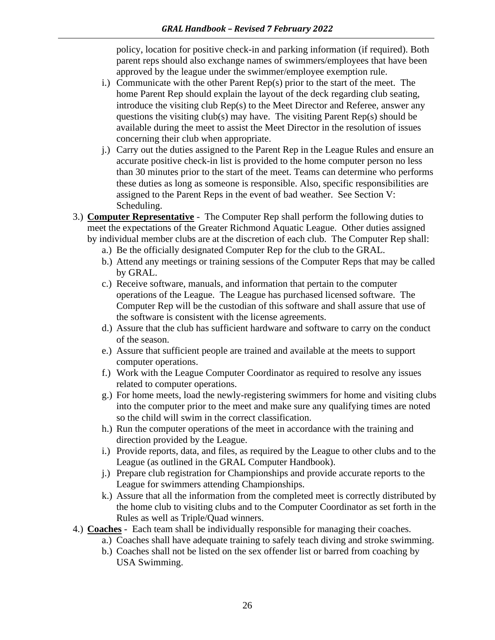policy, location for positive check-in and parking information (if required). Both parent reps should also exchange names of swimmers/employees that have been approved by the league under the swimmer/employee exemption rule.

- i.) Communicate with the other Parent Rep(s) prior to the start of the meet. The home Parent Rep should explain the layout of the deck regarding club seating, introduce the visiting club Rep(s) to the Meet Director and Referee, answer any questions the visiting club(s) may have. The visiting Parent  $Rep(s)$  should be available during the meet to assist the Meet Director in the resolution of issues concerning their club when appropriate.
- j.) Carry out the duties assigned to the Parent Rep in the League Rules and ensure an accurate positive check-in list is provided to the home computer person no less than 30 minutes prior to the start of the meet. Teams can determine who performs these duties as long as someone is responsible. Also, specific responsibilities are assigned to the Parent Reps in the event of bad weather. See Section V: Scheduling.
- 3.) **Computer Representative** The Computer Rep shall perform the following duties to meet the expectations of the Greater Richmond Aquatic League. Other duties assigned by individual member clubs are at the discretion of each club. The Computer Rep shall:
	- a.) Be the officially designated Computer Rep for the club to the GRAL.
	- b.) Attend any meetings or training sessions of the Computer Reps that may be called by GRAL.
	- c.) Receive software, manuals, and information that pertain to the computer operations of the League. The League has purchased licensed software. The Computer Rep will be the custodian of this software and shall assure that use of the software is consistent with the license agreements.
	- d.) Assure that the club has sufficient hardware and software to carry on the conduct of the season.
	- e.) Assure that sufficient people are trained and available at the meets to support computer operations.
	- f.) Work with the League Computer Coordinator as required to resolve any issues related to computer operations.
	- g.) For home meets, load the newly-registering swimmers for home and visiting clubs into the computer prior to the meet and make sure any qualifying times are noted so the child will swim in the correct classification.
	- h.) Run the computer operations of the meet in accordance with the training and direction provided by the League.
	- i.) Provide reports, data, and files, as required by the League to other clubs and to the League (as outlined in the GRAL Computer Handbook).
	- j.) Prepare club registration for Championships and provide accurate reports to the League for swimmers attending Championships.
	- k.) Assure that all the information from the completed meet is correctly distributed by the home club to visiting clubs and to the Computer Coordinator as set forth in the Rules as well as Triple/Quad winners.
- 4.) **Coaches** Each team shall be individually responsible for managing their coaches.
	- a.) Coaches shall have adequate training to safely teach diving and stroke swimming.
	- b.) Coaches shall not be listed on the sex offender list or barred from coaching by USA Swimming.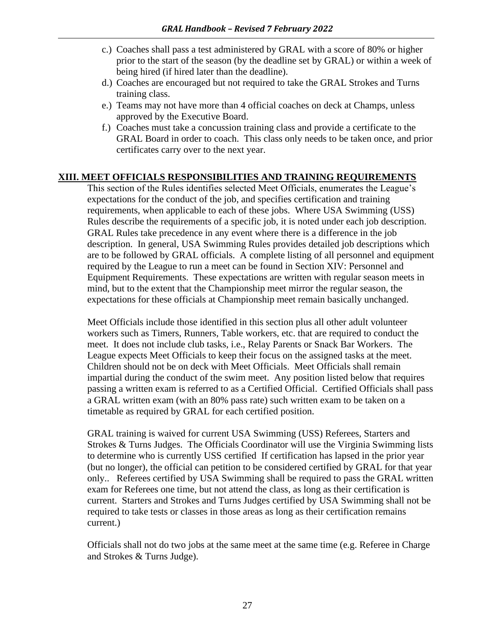- c.) Coaches shall pass a test administered by GRAL with a score of 80% or higher prior to the start of the season (by the deadline set by GRAL) or within a week of being hired (if hired later than the deadline).
- d.) Coaches are encouraged but not required to take the GRAL Strokes and Turns training class.
- e.) Teams may not have more than 4 official coaches on deck at Champs, unless approved by the Executive Board.
- f.) Coaches must take a concussion training class and provide a certificate to the GRAL Board in order to coach. This class only needs to be taken once, and prior certificates carry over to the next year.

#### **XIII. MEET OFFICIALS RESPONSIBILITIES AND TRAINING REQUIREMENTS**

This section of the Rules identifies selected Meet Officials, enumerates the League's expectations for the conduct of the job, and specifies certification and training requirements, when applicable to each of these jobs. Where USA Swimming (USS) Rules describe the requirements of a specific job, it is noted under each job description. GRAL Rules take precedence in any event where there is a difference in the job description. In general, USA Swimming Rules provides detailed job descriptions which are to be followed by GRAL officials. A complete listing of all personnel and equipment required by the League to run a meet can be found in Section XIV: Personnel and Equipment Requirements. These expectations are written with regular season meets in mind, but to the extent that the Championship meet mirror the regular season, the expectations for these officials at Championship meet remain basically unchanged.

Meet Officials include those identified in this section plus all other adult volunteer workers such as Timers, Runners, Table workers, etc. that are required to conduct the meet. It does not include club tasks, i.e., Relay Parents or Snack Bar Workers. The League expects Meet Officials to keep their focus on the assigned tasks at the meet. Children should not be on deck with Meet Officials. Meet Officials shall remain impartial during the conduct of the swim meet. Any position listed below that requires passing a written exam is referred to as a Certified Official. Certified Officials shall pass a GRAL written exam (with an 80% pass rate) such written exam to be taken on a timetable as required by GRAL for each certified position.

GRAL training is waived for current USA Swimming (USS) Referees, Starters and Strokes & Turns Judges. The Officials Coordinator will use the Virginia Swimming lists to determine who is currently USS certified If certification has lapsed in the prior year (but no longer), the official can petition to be considered certified by GRAL for that year only.. Referees certified by USA Swimming shall be required to pass the GRAL written exam for Referees one time, but not attend the class, as long as their certification is current. Starters and Strokes and Turns Judges certified by USA Swimming shall not be required to take tests or classes in those areas as long as their certification remains current.)

Officials shall not do two jobs at the same meet at the same time (e.g. Referee in Charge and Strokes & Turns Judge).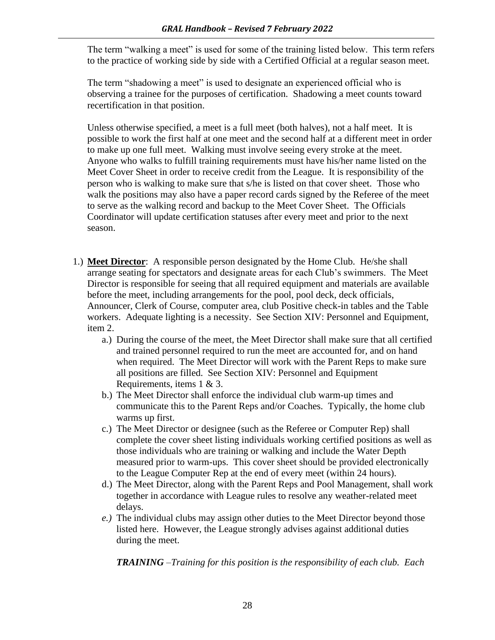The term "walking a meet" is used for some of the training listed below. This term refers to the practice of working side by side with a Certified Official at a regular season meet.

The term "shadowing a meet" is used to designate an experienced official who is observing a trainee for the purposes of certification. Shadowing a meet counts toward recertification in that position.

Unless otherwise specified, a meet is a full meet (both halves), not a half meet. It is possible to work the first half at one meet and the second half at a different meet in order to make up one full meet. Walking must involve seeing every stroke at the meet. Anyone who walks to fulfill training requirements must have his/her name listed on the Meet Cover Sheet in order to receive credit from the League. It is responsibility of the person who is walking to make sure that s/he is listed on that cover sheet. Those who walk the positions may also have a paper record cards signed by the Referee of the meet to serve as the walking record and backup to the Meet Cover Sheet. The Officials Coordinator will update certification statuses after every meet and prior to the next season.

- 1.) **Meet Director**: A responsible person designated by the Home Club. He/she shall arrange seating for spectators and designate areas for each Club's swimmers. The Meet Director is responsible for seeing that all required equipment and materials are available before the meet, including arrangements for the pool, pool deck, deck officials, Announcer, Clerk of Course, computer area, club Positive check-in tables and the Table workers. Adequate lighting is a necessity. See Section XIV: Personnel and Equipment, item 2.
	- a.) During the course of the meet, the Meet Director shall make sure that all certified and trained personnel required to run the meet are accounted for, and on hand when required. The Meet Director will work with the Parent Reps to make sure all positions are filled. See Section XIV: Personnel and Equipment Requirements, items 1 & 3.
	- b.) The Meet Director shall enforce the individual club warm-up times and communicate this to the Parent Reps and/or Coaches. Typically, the home club warms up first.
	- c.) The Meet Director or designee (such as the Referee or Computer Rep) shall complete the cover sheet listing individuals working certified positions as well as those individuals who are training or walking and include the Water Depth measured prior to warm-ups. This cover sheet should be provided electronically to the League Computer Rep at the end of every meet (within 24 hours).
	- d.) The Meet Director, along with the Parent Reps and Pool Management, shall work together in accordance with League rules to resolve any weather-related meet delays.
	- *e.)* The individual clubs may assign other duties to the Meet Director beyond those listed here. However, the League strongly advises against additional duties during the meet.

*TRAINING –Training for this position is the responsibility of each club. Each*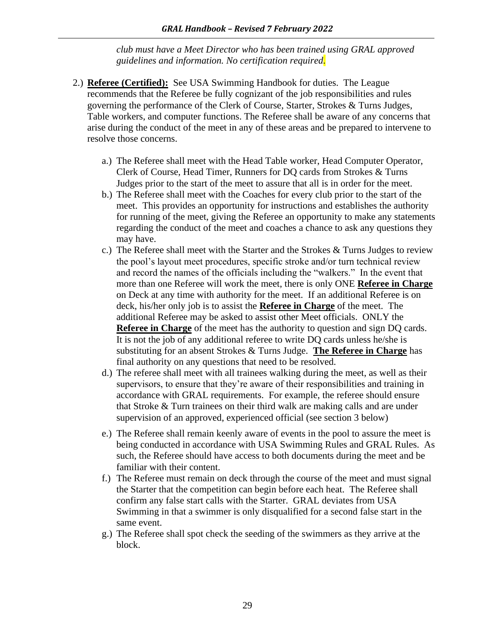*club must have a Meet Director who has been trained using GRAL approved guidelines and information. No certification required.*

- 2.) **Referee (Certified):** See USA Swimming Handbook for duties. The League recommends that the Referee be fully cognizant of the job responsibilities and rules governing the performance of the Clerk of Course, Starter, Strokes & Turns Judges, Table workers, and computer functions. The Referee shall be aware of any concerns that arise during the conduct of the meet in any of these areas and be prepared to intervene to resolve those concerns.
	- a.) The Referee shall meet with the Head Table worker, Head Computer Operator, Clerk of Course, Head Timer, Runners for DQ cards from Strokes & Turns Judges prior to the start of the meet to assure that all is in order for the meet.
	- b.) The Referee shall meet with the Coaches for every club prior to the start of the meet. This provides an opportunity for instructions and establishes the authority for running of the meet, giving the Referee an opportunity to make any statements regarding the conduct of the meet and coaches a chance to ask any questions they may have.
	- c.) The Referee shall meet with the Starter and the Strokes & Turns Judges to review the pool's layout meet procedures, specific stroke and/or turn technical review and record the names of the officials including the "walkers." In the event that more than one Referee will work the meet, there is only ONE **Referee in Charge** on Deck at any time with authority for the meet. If an additional Referee is on deck, his/her only job is to assist the **Referee in Charge** of the meet. The additional Referee may be asked to assist other Meet officials. ONLY the **Referee in Charge** of the meet has the authority to question and sign DQ cards. It is not the job of any additional referee to write DQ cards unless he/she is substituting for an absent Strokes & Turns Judge. **The Referee in Charge** has final authority on any questions that need to be resolved.
	- d.) The referee shall meet with all trainees walking during the meet, as well as their supervisors, to ensure that they're aware of their responsibilities and training in accordance with GRAL requirements. For example, the referee should ensure that Stroke & Turn trainees on their third walk are making calls and are under supervision of an approved, experienced official (see section 3 below)
	- e.) The Referee shall remain keenly aware of events in the pool to assure the meet is being conducted in accordance with USA Swimming Rules and GRAL Rules. As such, the Referee should have access to both documents during the meet and be familiar with their content.
	- f.) The Referee must remain on deck through the course of the meet and must signal the Starter that the competition can begin before each heat. The Referee shall confirm any false start calls with the Starter. GRAL deviates from USA Swimming in that a swimmer is only disqualified for a second false start in the same event.
	- g.) The Referee shall spot check the seeding of the swimmers as they arrive at the block.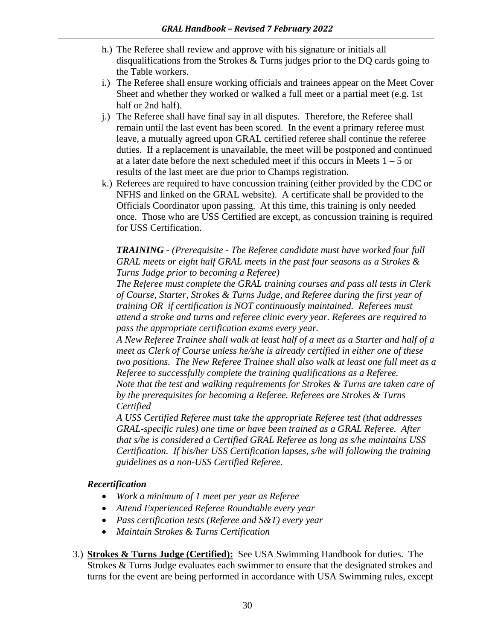- h.) The Referee shall review and approve with his signature or initials all disqualifications from the Strokes & Turns judges prior to the DQ cards going to the Table workers.
- i.) The Referee shall ensure working officials and trainees appear on the Meet Cover Sheet and whether they worked or walked a full meet or a partial meet (e.g. 1st half or 2nd half).
- j.) The Referee shall have final say in all disputes. Therefore, the Referee shall remain until the last event has been scored. In the event a primary referee must leave, a mutually agreed upon GRAL certified referee shall continue the referee duties. If a replacement is unavailable, the meet will be postponed and continued at a later date before the next scheduled meet if this occurs in Meets  $1 - 5$  or results of the last meet are due prior to Champs registration.
- k.) Referees are required to have concussion training (either provided by the CDC or NFHS and linked on the GRAL website). A certificate shall be provided to the Officials Coordinator upon passing. At this time, this training is only needed once. Those who are USS Certified are except, as concussion training is required for USS Certification.

*TRAINING - (Prerequisite - The Referee candidate must have worked four full GRAL meets or eight half GRAL meets in the past four seasons as a Strokes & Turns Judge prior to becoming a Referee)* 

*The Referee must complete the GRAL training courses and pass all tests in Clerk of Course, Starter, Strokes & Turns Judge, and Referee during the first year of training OR if certification is NOT continuously maintained. Referees must attend a stroke and turns and referee clinic every year. Referees are required to pass the appropriate certification exams every year.* 

*A New Referee Trainee shall walk at least half of a meet as a Starter and half of a meet as Clerk of Course unless he/she is already certified in either one of these two positions. The New Referee Trainee shall also walk at least one full meet as a Referee to successfully complete the training qualifications as a Referee. Note that the test and walking requirements for Strokes & Turns are taken care of by the prerequisites for becoming a Referee. Referees are Strokes & Turns Certified*

*A USS Certified Referee must take the appropriate Referee test (that addresses GRAL-specific rules) one time or have been trained as a GRAL Referee. After that s/he is considered a Certified GRAL Referee as long as s/he maintains USS Certification. If his/her USS Certification lapses, s/he will following the training guidelines as a non-USS Certified Referee.*

#### *Recertification*

- *Work a minimum of 1 meet per year as Referee*
- *Attend Experienced Referee Roundtable every year*
- *Pass certification tests (Referee and S&T) every year*
- *Maintain Strokes & Turns Certification*
- 3.) **Strokes & Turns Judge (Certified):** See USA Swimming Handbook for duties. The Strokes & Turns Judge evaluates each swimmer to ensure that the designated strokes and turns for the event are being performed in accordance with USA Swimming rules, except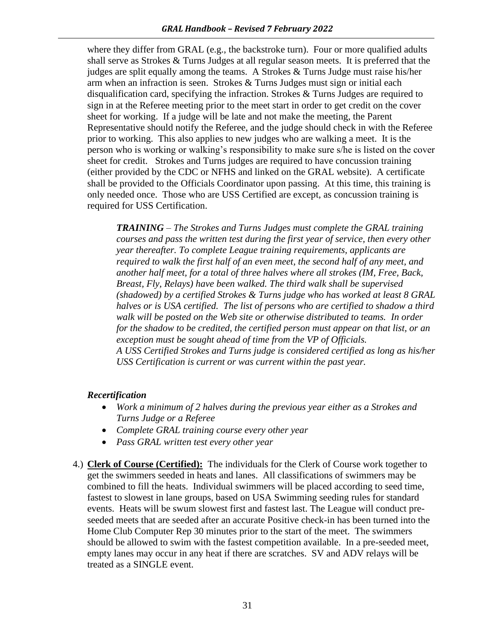where they differ from GRAL (e.g., the backstroke turn). Four or more qualified adults shall serve as Strokes & Turns Judges at all regular season meets. It is preferred that the judges are split equally among the teams. A Strokes & Turns Judge must raise his/her arm when an infraction is seen. Strokes & Turns Judges must sign or initial each disqualification card, specifying the infraction. Strokes & Turns Judges are required to sign in at the Referee meeting prior to the meet start in order to get credit on the cover sheet for working. If a judge will be late and not make the meeting, the Parent Representative should notify the Referee, and the judge should check in with the Referee prior to working. This also applies to new judges who are walking a meet. It is the person who is working or walking's responsibility to make sure s/he is listed on the cover sheet for credit. Strokes and Turns judges are required to have concussion training (either provided by the CDC or NFHS and linked on the GRAL website). A certificate shall be provided to the Officials Coordinator upon passing. At this time, this training is only needed once. Those who are USS Certified are except, as concussion training is required for USS Certification.

*TRAINING – The Strokes and Turns Judges must complete the GRAL training courses and pass the written test during the first year of service, then every other year thereafter. To complete League training requirements, applicants are required to walk the first half of an even meet, the second half of any meet, and another half meet, for a total of three halves where all strokes (IM, Free, Back, Breast, Fly, Relays) have been walked. The third walk shall be supervised (shadowed) by a certified Strokes & Turns judge who has worked at least 8 GRAL halves or is USA certified. The list of persons who are certified to shadow a third walk will be posted on the Web site or otherwise distributed to teams. In order for the shadow to be credited, the certified person must appear on that list, or an exception must be sought ahead of time from the VP of Officials. A USS Certified Strokes and Turns judge is considered certified as long as his/her USS Certification is current or was current within the past year.* 

#### *Recertification*

- *Work a minimum of 2 halves during the previous year either as a Strokes and Turns Judge or a Referee*
- *Complete GRAL training course every other year*
- *Pass GRAL written test every other year*
- 4.) **Clerk of Course (Certified):** The individuals for the Clerk of Course work together to get the swimmers seeded in heats and lanes. All classifications of swimmers may be combined to fill the heats. Individual swimmers will be placed according to seed time, fastest to slowest in lane groups, based on USA Swimming seeding rules for standard events. Heats will be swum slowest first and fastest last. The League will conduct preseeded meets that are seeded after an accurate Positive check-in has been turned into the Home Club Computer Rep 30 minutes prior to the start of the meet. The swimmers should be allowed to swim with the fastest competition available. In a pre-seeded meet, empty lanes may occur in any heat if there are scratches. SV and ADV relays will be treated as a SINGLE event.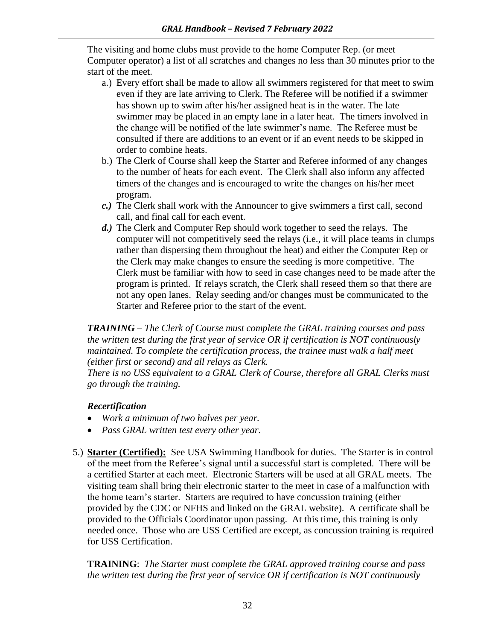The visiting and home clubs must provide to the home Computer Rep. (or meet Computer operator) a list of all scratches and changes no less than 30 minutes prior to the start of the meet.

- a.) Every effort shall be made to allow all swimmers registered for that meet to swim even if they are late arriving to Clerk. The Referee will be notified if a swimmer has shown up to swim after his/her assigned heat is in the water. The late swimmer may be placed in an empty lane in a later heat. The timers involved in the change will be notified of the late swimmer's name. The Referee must be consulted if there are additions to an event or if an event needs to be skipped in order to combine heats.
- b.) The Clerk of Course shall keep the Starter and Referee informed of any changes to the number of heats for each event. The Clerk shall also inform any affected timers of the changes and is encouraged to write the changes on his/her meet program.
- *c.)* The Clerk shall work with the Announcer to give swimmers a first call, second call, and final call for each event.
- *d.)* The Clerk and Computer Rep should work together to seed the relays. The computer will not competitively seed the relays (i.e., it will place teams in clumps rather than dispersing them throughout the heat) and either the Computer Rep or the Clerk may make changes to ensure the seeding is more competitive. The Clerk must be familiar with how to seed in case changes need to be made after the program is printed. If relays scratch, the Clerk shall reseed them so that there are not any open lanes. Relay seeding and/or changes must be communicated to the Starter and Referee prior to the start of the event.

*TRAINING – The Clerk of Course must complete the GRAL training courses and pass the written test during the first year of service OR if certification is NOT continuously maintained. To complete the certification process, the trainee must walk a half meet (either first or second) and all relays as Clerk.* 

*There is no USS equivalent to a GRAL Clerk of Course, therefore all GRAL Clerks must go through the training.*

#### *Recertification*

- *Work a minimum of two halves per year.*
- *Pass GRAL written test every other year.*
- 5.) **Starter (Certified):** See USA Swimming Handbook for duties. The Starter is in control of the meet from the Referee's signal until a successful start is completed. There will be a certified Starter at each meet. Electronic Starters will be used at all GRAL meets. The visiting team shall bring their electronic starter to the meet in case of a malfunction with the home team's starter. Starters are required to have concussion training (either provided by the CDC or NFHS and linked on the GRAL website). A certificate shall be provided to the Officials Coordinator upon passing. At this time, this training is only needed once. Those who are USS Certified are except, as concussion training is required for USS Certification.

**TRAINING**: *The Starter must complete the GRAL approved training course and pass the written test during the first year of service OR if certification is NOT continuously*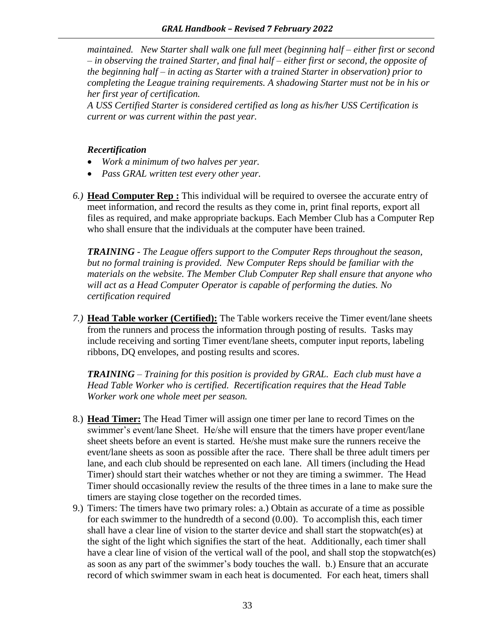*maintained. New Starter shall walk one full meet (beginning half – either first or second – in observing the trained Starter, and final half – either first or second, the opposite of the beginning half – in acting as Starter with a trained Starter in observation) prior to completing the League training requirements. A shadowing Starter must not be in his or her first year of certification.*

*A USS Certified Starter is considered certified as long as his/her USS Certification is current or was current within the past year.* 

#### *Recertification*

- *Work a minimum of two halves per year.*
- *Pass GRAL written test every other year.*
- *6.)* **Head Computer Rep :** This individual will be required to oversee the accurate entry of meet information, and record the results as they come in, print final reports, export all files as required, and make appropriate backups. Each Member Club has a Computer Rep who shall ensure that the individuals at the computer have been trained.

*TRAINING - The League offers support to the Computer Reps throughout the season, but no formal training is provided. New Computer Reps should be familiar with the materials on the website. The Member Club Computer Rep shall ensure that anyone who will act as a Head Computer Operator is capable of performing the duties. No certification required*

*7.)* **Head Table worker (Certified):** The Table workers receive the Timer event/lane sheets from the runners and process the information through posting of results. Tasks may include receiving and sorting Timer event/lane sheets, computer input reports, labeling ribbons, DQ envelopes, and posting results and scores.

*TRAINING – Training for this position is provided by GRAL. Each club must have a Head Table Worker who is certified. Recertification requires that the Head Table Worker work one whole meet per season.*

- 8.) **Head Timer:** The Head Timer will assign one timer per lane to record Times on the swimmer's event/lane Sheet. He/she will ensure that the timers have proper event/lane sheet sheets before an event is started. He/she must make sure the runners receive the event/lane sheets as soon as possible after the race. There shall be three adult timers per lane, and each club should be represented on each lane. All timers (including the Head Timer) should start their watches whether or not they are timing a swimmer. The Head Timer should occasionally review the results of the three times in a lane to make sure the timers are staying close together on the recorded times.
- 9.) Timers: The timers have two primary roles: a.) Obtain as accurate of a time as possible for each swimmer to the hundredth of a second (0.00). To accomplish this, each timer shall have a clear line of vision to the starter device and shall start the stopwatch(es) at the sight of the light which signifies the start of the heat. Additionally, each timer shall have a clear line of vision of the vertical wall of the pool, and shall stop the stopwatch(es) as soon as any part of the swimmer's body touches the wall. b.) Ensure that an accurate record of which swimmer swam in each heat is documented. For each heat, timers shall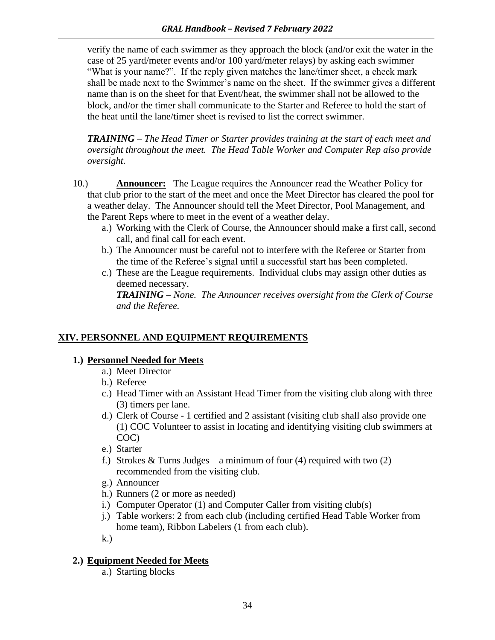verify the name of each swimmer as they approach the block (and/or exit the water in the case of 25 yard/meter events and/or 100 yard/meter relays) by asking each swimmer "What is your name?". If the reply given matches the lane/timer sheet, a check mark shall be made next to the Swimmer's name on the sheet. If the swimmer gives a different name than is on the sheet for that Event/heat, the swimmer shall not be allowed to the block, and/or the timer shall communicate to the Starter and Referee to hold the start of the heat until the lane/timer sheet is revised to list the correct swimmer.

*TRAINING – The Head Timer or Starter provides training at the start of each meet and oversight throughout the meet. The Head Table Worker and Computer Rep also provide oversight.*

- 10.) **Announcer:** The League requires the Announcer read the Weather Policy for that club prior to the start of the meet and once the Meet Director has cleared the pool for a weather delay. The Announcer should tell the Meet Director, Pool Management, and the Parent Reps where to meet in the event of a weather delay.
	- a.) Working with the Clerk of Course, the Announcer should make a first call, second call, and final call for each event.
	- b.) The Announcer must be careful not to interfere with the Referee or Starter from the time of the Referee's signal until a successful start has been completed.
	- c.) These are the League requirements. Individual clubs may assign other duties as deemed necessary.

*TRAINING – None. The Announcer receives oversight from the Clerk of Course and the Referee.*

#### **XIV. PERSONNEL AND EQUIPMENT REQUIREMENTS**

#### **1.) Personnel Needed for Meets**

- a.) Meet Director
- b.) Referee
- c.) Head Timer with an Assistant Head Timer from the visiting club along with three (3) timers per lane.
- d.) Clerk of Course 1 certified and 2 assistant (visiting club shall also provide one (1) COC Volunteer to assist in locating and identifying visiting club swimmers at COC)
- e.) Starter
- f.) Strokes & Turns Judges a minimum of four (4) required with two  $(2)$ recommended from the visiting club.
- g.) Announcer
- h.) Runners (2 or more as needed)
- i.) Computer Operator (1) and Computer Caller from visiting club(s)
- j.) Table workers: 2 from each club (including certified Head Table Worker from home team), Ribbon Labelers (1 from each club).
- k.)

#### **2.) Equipment Needed for Meets**

a.) Starting blocks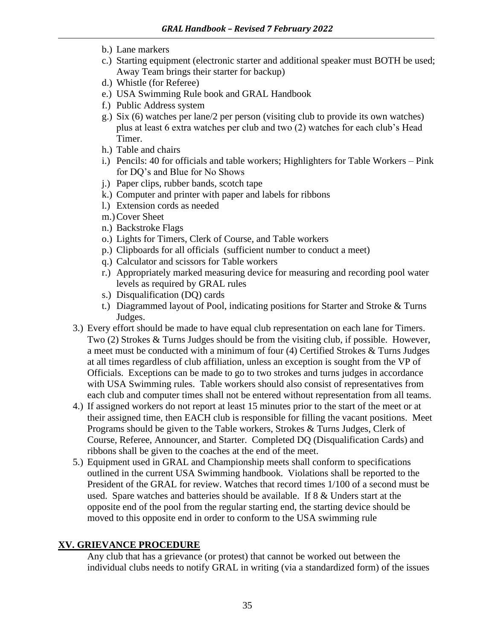- b.) Lane markers
- c.) Starting equipment (electronic starter and additional speaker must BOTH be used; Away Team brings their starter for backup)
- d.) Whistle (for Referee)
- e.) USA Swimming Rule book and GRAL Handbook
- f.) Public Address system
- g.) Six (6) watches per lane/2 per person (visiting club to provide its own watches) plus at least 6 extra watches per club and two (2) watches for each club's Head Timer.
- h.) Table and chairs
- i.) Pencils: 40 for officials and table workers; Highlighters for Table Workers Pink for DQ's and Blue for No Shows
- j.) Paper clips, rubber bands, scotch tape
- k.) Computer and printer with paper and labels for ribbons
- l.) Extension cords as needed
- m.)Cover Sheet
- n.) Backstroke Flags
- o.) Lights for Timers, Clerk of Course, and Table workers
- p.) Clipboards for all officials (sufficient number to conduct a meet)
- q.) Calculator and scissors for Table workers
- r.) Appropriately marked measuring device for measuring and recording pool water levels as required by GRAL rules
- s.) Disqualification (DQ) cards
- t.) Diagrammed layout of Pool, indicating positions for Starter and Stroke & Turns Judges.
- 3.) Every effort should be made to have equal club representation on each lane for Timers. Two (2) Strokes & Turns Judges should be from the visiting club, if possible. However, a meet must be conducted with a minimum of four (4) Certified Strokes & Turns Judges at all times regardless of club affiliation, unless an exception is sought from the VP of Officials. Exceptions can be made to go to two strokes and turns judges in accordance with USA Swimming rules. Table workers should also consist of representatives from each club and computer times shall not be entered without representation from all teams.
- 4.) If assigned workers do not report at least 15 minutes prior to the start of the meet or at their assigned time, then EACH club is responsible for filling the vacant positions. Meet Programs should be given to the Table workers, Strokes & Turns Judges, Clerk of Course, Referee, Announcer, and Starter. Completed DQ (Disqualification Cards) and ribbons shall be given to the coaches at the end of the meet.
- 5.) Equipment used in GRAL and Championship meets shall conform to specifications outlined in the current USA Swimming handbook. Violations shall be reported to the President of the GRAL for review. Watches that record times 1/100 of a second must be used. Spare watches and batteries should be available. If 8 & Unders start at the opposite end of the pool from the regular starting end, the starting device should be moved to this opposite end in order to conform to the USA swimming rule

#### **XV. GRIEVANCE PROCEDURE**

Any club that has a grievance (or protest) that cannot be worked out between the individual clubs needs to notify GRAL in writing (via a standardized form) of the issues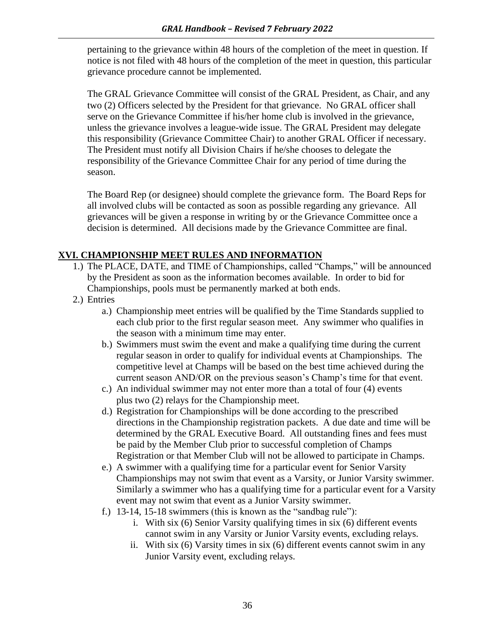pertaining to the grievance within 48 hours of the completion of the meet in question. If notice is not filed with 48 hours of the completion of the meet in question, this particular grievance procedure cannot be implemented.

The GRAL Grievance Committee will consist of the GRAL President, as Chair, and any two (2) Officers selected by the President for that grievance. No GRAL officer shall serve on the Grievance Committee if his/her home club is involved in the grievance, unless the grievance involves a league-wide issue. The GRAL President may delegate this responsibility (Grievance Committee Chair) to another GRAL Officer if necessary. The President must notify all Division Chairs if he/she chooses to delegate the responsibility of the Grievance Committee Chair for any period of time during the season.

The Board Rep (or designee) should complete the grievance form. The Board Reps for all involved clubs will be contacted as soon as possible regarding any grievance. All grievances will be given a response in writing by or the Grievance Committee once a decision is determined. All decisions made by the Grievance Committee are final.

#### **XVI. CHAMPIONSHIP MEET RULES AND INFORMATION**

- 1.) The PLACE, DATE, and TIME of Championships, called "Champs," will be announced by the President as soon as the information becomes available. In order to bid for Championships, pools must be permanently marked at both ends.
- 2.) Entries
	- a.) Championship meet entries will be qualified by the Time Standards supplied to each club prior to the first regular season meet. Any swimmer who qualifies in the season with a minimum time may enter.
	- b.) Swimmers must swim the event and make a qualifying time during the current regular season in order to qualify for individual events at Championships. The competitive level at Champs will be based on the best time achieved during the current season AND/OR on the previous season's Champ's time for that event.
	- c.) An individual swimmer may not enter more than a total of four (4) events plus two (2) relays for the Championship meet.
	- d.) Registration for Championships will be done according to the prescribed directions in the Championship registration packets. A due date and time will be determined by the GRAL Executive Board. All outstanding fines and fees must be paid by the Member Club prior to successful completion of Champs Registration or that Member Club will not be allowed to participate in Champs.
	- e.) A swimmer with a qualifying time for a particular event for Senior Varsity Championships may not swim that event as a Varsity, or Junior Varsity swimmer. Similarly a swimmer who has a qualifying time for a particular event for a Varsity event may not swim that event as a Junior Varsity swimmer.
	- f.) 13-14, 15-18 swimmers (this is known as the "sandbag rule"):
		- i. With six (6) Senior Varsity qualifying times in six (6) different events cannot swim in any Varsity or Junior Varsity events, excluding relays.
		- ii. With six (6) Varsity times in six (6) different events cannot swim in any Junior Varsity event, excluding relays.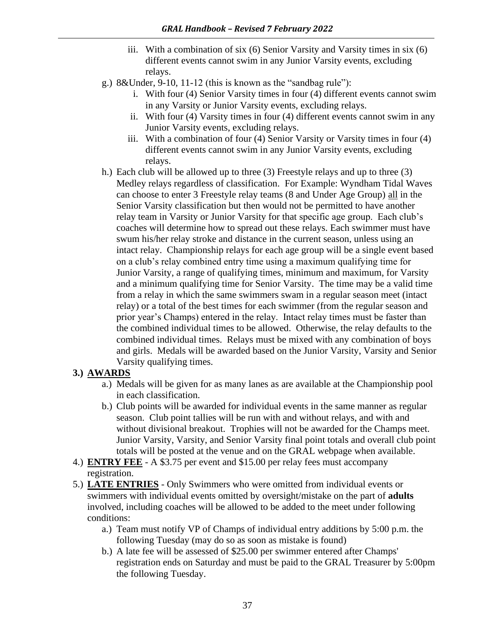- iii. With a combination of six (6) Senior Varsity and Varsity times in six (6) different events cannot swim in any Junior Varsity events, excluding relays.
- g.) 8&Under, 9-10, 11-12 (this is known as the "sandbag rule"):
	- i. With four (4) Senior Varsity times in four (4) different events cannot swim in any Varsity or Junior Varsity events, excluding relays.
	- ii. With four (4) Varsity times in four (4) different events cannot swim in any Junior Varsity events, excluding relays.
	- iii. With a combination of four (4) Senior Varsity or Varsity times in four (4) different events cannot swim in any Junior Varsity events, excluding relays.
- h.) Each club will be allowed up to three (3) Freestyle relays and up to three (3) Medley relays regardless of classification. For Example: Wyndham Tidal Waves can choose to enter 3 Freestyle relay teams (8 and Under Age Group) all in the Senior Varsity classification but then would not be permitted to have another relay team in Varsity or Junior Varsity for that specific age group. Each club's coaches will determine how to spread out these relays. Each swimmer must have swum his/her relay stroke and distance in the current season, unless using an intact relay. Championship relays for each age group will be a single event based on a club's relay combined entry time using a maximum qualifying time for Junior Varsity, a range of qualifying times, minimum and maximum, for Varsity and a minimum qualifying time for Senior Varsity. The time may be a valid time from a relay in which the same swimmers swam in a regular season meet (intact relay) or a total of the best times for each swimmer (from the regular season and prior year's Champs) entered in the relay. Intact relay times must be faster than the combined individual times to be allowed. Otherwise, the relay defaults to the combined individual times. Relays must be mixed with any combination of boys and girls. Medals will be awarded based on the Junior Varsity, Varsity and Senior Varsity qualifying times.

#### **3.) AWARDS**

- a.) Medals will be given for as many lanes as are available at the Championship pool in each classification.
- b.) Club points will be awarded for individual events in the same manner as regular season. Club point tallies will be run with and without relays, and with and without divisional breakout. Trophies will not be awarded for the Champs meet. Junior Varsity, Varsity, and Senior Varsity final point totals and overall club point totals will be posted at the venue and on the GRAL webpage when available.
- 4.) **ENTRY FEE** A \$3.75 per event and \$15.00 per relay fees must accompany registration.
- 5.) **LATE ENTRIES** Only Swimmers who were omitted from individual events or swimmers with individual events omitted by oversight/mistake on the part of **adults**  involved, including coaches will be allowed to be added to the meet under following conditions:
	- a.) Team must notify VP of Champs of individual entry additions by 5:00 p.m. the following Tuesday (may do so as soon as mistake is found)
	- b.) A late fee will be assessed of \$25.00 per swimmer entered after Champs' registration ends on Saturday and must be paid to the GRAL Treasurer by 5:00pm the following Tuesday.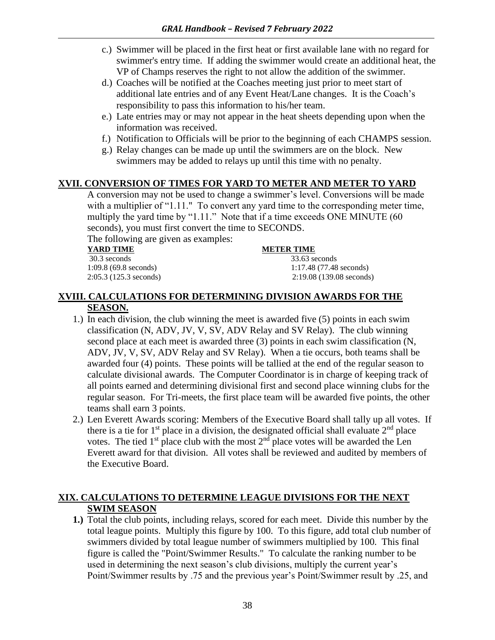- c.) Swimmer will be placed in the first heat or first available lane with no regard for swimmer's entry time. If adding the swimmer would create an additional heat, the VP of Champs reserves the right to not allow the addition of the swimmer.
- d.) Coaches will be notified at the Coaches meeting just prior to meet start of additional late entries and of any Event Heat/Lane changes. It is the Coach's responsibility to pass this information to his/her team.
- e.) Late entries may or may not appear in the heat sheets depending upon when the information was received.
- f.) Notification to Officials will be prior to the beginning of each CHAMPS session.
- g.) Relay changes can be made up until the swimmers are on the block. New swimmers may be added to relays up until this time with no penalty.

#### **XVII. CONVERSION OF TIMES FOR YARD TO METER AND METER TO YARD**

A conversion may not be used to change a swimmer's level. Conversions will be made with a multiplier of "1.11." To convert any yard time to the corresponding meter time, multiply the yard time by "1.11." Note that if a time exceeds ONE MINUTE (60 seconds), you must first convert the time to SECONDS.

The following are given as examples:

30.3 seconds 33.63 seconds

#### **YARD TIME METER TIME**

1:09.8 (69.8 seconds) 1:17.48 (77.48 seconds) 2:05.3 (125.3 seconds) 2:19.08 (139.08 seconds)

#### **XVIII. CALCULATIONS FOR DETERMINING DIVISION AWARDS FOR THE SEASON.**

- 1.) In each division, the club winning the meet is awarded five (5) points in each swim classification (N, ADV, JV, V, SV, ADV Relay and SV Relay). The club winning second place at each meet is awarded three (3) points in each swim classification (N, ADV, JV, V, SV, ADV Relay and SV Relay). When a tie occurs, both teams shall be awarded four (4) points. These points will be tallied at the end of the regular season to calculate divisional awards. The Computer Coordinator is in charge of keeping track of all points earned and determining divisional first and second place winning clubs for the regular season. For Tri-meets, the first place team will be awarded five points, the other teams shall earn 3 points.
- 2.) Len Everett Awards scoring: Members of the Executive Board shall tally up all votes. If there is a tie for  $1<sup>st</sup>$  place in a division, the designated official shall evaluate  $2<sup>nd</sup>$  place votes. The tied 1<sup>st</sup> place club with the most  $2<sup>nd</sup>$  place votes will be awarded the Len Everett award for that division. All votes shall be reviewed and audited by members of the Executive Board.

#### **XIX. CALCULATIONS TO DETERMINE LEAGUE DIVISIONS FOR THE NEXT SWIM SEASON**

**1.)** Total the club points, including relays, scored for each meet. Divide this number by the total league points. Multiply this figure by 100. To this figure, add total club number of swimmers divided by total league number of swimmers multiplied by 100. This final figure is called the "Point/Swimmer Results." To calculate the ranking number to be used in determining the next season's club divisions, multiply the current year's Point/Swimmer results by .75 and the previous year's Point/Swimmer result by .25, and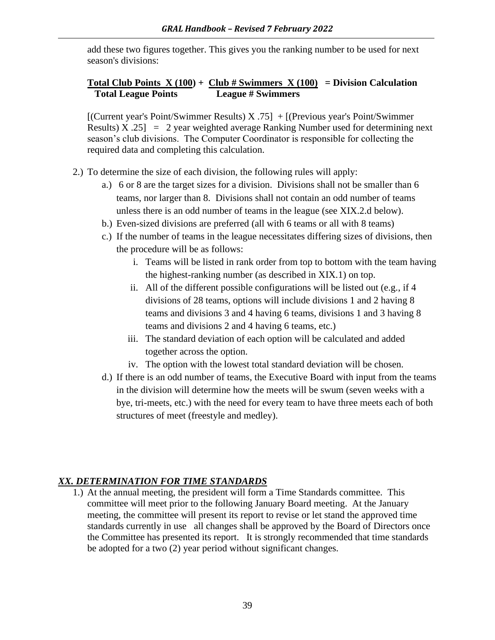add these two figures together. This gives you the ranking number to be used for next season's divisions:

#### **Total Club Points X (100) + Club # Swimmers X (100) = Division Calculation Total League Points League # Swimmers**

[(Current year's Point/Swimmer Results) X .75] + [(Previous year's Point/Swimmer Results)  $X .25$  = 2 year weighted average Ranking Number used for determining next season's club divisions. The Computer Coordinator is responsible for collecting the required data and completing this calculation.

- 2.) To determine the size of each division, the following rules will apply:
	- a.) 6 or 8 are the target sizes for a division. Divisions shall not be smaller than 6 teams, nor larger than 8. Divisions shall not contain an odd number of teams unless there is an odd number of teams in the league (see XIX.2.d below).
	- b.) Even-sized divisions are preferred (all with 6 teams or all with 8 teams)
	- c.) If the number of teams in the league necessitates differing sizes of divisions, then the procedure will be as follows:
		- i. Teams will be listed in rank order from top to bottom with the team having the highest-ranking number (as described in XIX.1) on top.
		- ii. All of the different possible configurations will be listed out (e.g., if 4 divisions of 28 teams, options will include divisions 1 and 2 having 8 teams and divisions 3 and 4 having 6 teams, divisions 1 and 3 having 8 teams and divisions 2 and 4 having 6 teams, etc.)
		- iii. The standard deviation of each option will be calculated and added together across the option.
		- iv. The option with the lowest total standard deviation will be chosen.
	- d.) If there is an odd number of teams, the Executive Board with input from the teams in the division will determine how the meets will be swum (seven weeks with a bye, tri-meets, etc.) with the need for every team to have three meets each of both structures of meet (freestyle and medley).

#### *XX. DETERMINATION FOR TIME STANDARDS*

1.) At the annual meeting, the president will form a Time Standards committee. This committee will meet prior to the following January Board meeting. At the January meeting, the committee will present its report to revise or let stand the approved time standards currently in use all changes shall be approved by the Board of Directors once the Committee has presented its report. It is strongly recommended that time standards be adopted for a two (2) year period without significant changes.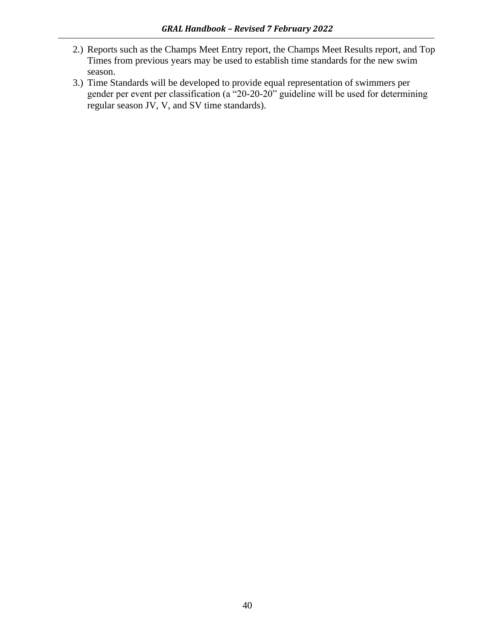- 2.) Reports such as the Champs Meet Entry report, the Champs Meet Results report, and Top Times from previous years may be used to establish time standards for the new swim season.
- 3.) Time Standards will be developed to provide equal representation of swimmers per gender per event per classification (a "20-20-20" guideline will be used for determining regular season JV, V, and SV time standards).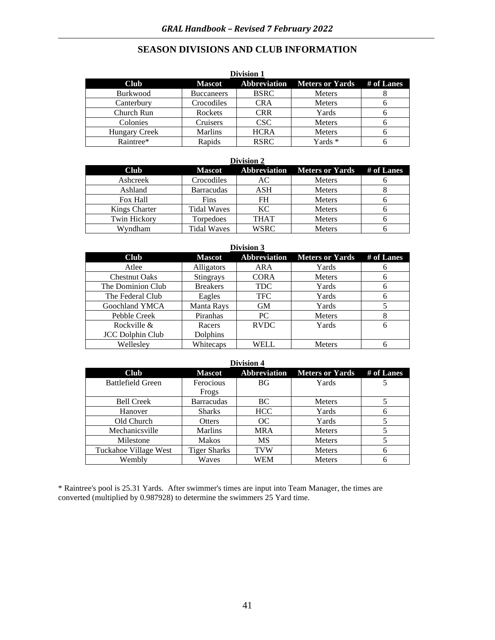#### **SEASON DIVISIONS AND CLUB INFORMATION**

| <b>Division 1</b>    |                   |                     |                        |            |
|----------------------|-------------------|---------------------|------------------------|------------|
| <b>Club</b>          | <b>Mascot</b>     | <b>Abbreviation</b> | <b>Meters or Yards</b> | # of Lanes |
| <b>Burkwood</b>      | <b>Buccaneers</b> | <b>BSRC</b>         | <b>Meters</b>          |            |
| Canterbury           | Crocodiles        | <b>CRA</b>          | <b>Meters</b>          |            |
| Church Run           | Rockets           | <b>CRR</b>          | Yards                  |            |
| Colonies             | Cruisers          | CSC                 | <b>Meters</b>          |            |
| <b>Hungary Creek</b> | <b>Marlins</b>    | <b>HCRA</b>         | <b>Meters</b>          |            |
| Raintree*            | Rapids            | <b>RSRC</b>         | Yards *                |            |

#### **Division 2 Club Mascot Abbreviation Meters or Yards # of Lanes** Ashcreek Crocodiles AC Meters 6 Ashland Barracudas ASH Meters 8 Fox Hall Fins FH Meters 6 Kings Charter | Tidal Waves | KC | Meters | 6 Twin Hickory Torpedoes THAT Meters 6 Wyndham Tidal Waves WSRC Meters 6

| Division 3              |                 |              |                        |            |
|-------------------------|-----------------|--------------|------------------------|------------|
| <b>Club</b>             | <b>Mascot</b>   | Abbreviation | <b>Meters or Yards</b> | # of Lanes |
| Atlee                   | Alligators      | ARA          | Yards                  | h          |
| <b>Chestnut Oaks</b>    | Stingrays       | <b>CORA</b>  | <b>Meters</b>          | h          |
| The Dominion Club       | <b>Breakers</b> | <b>TDC</b>   | Yards                  | h          |
| The Federal Club        | Eagles          | <b>TFC</b>   | Yards                  | n          |
| Goochland YMCA          | Manta Rays      | <b>GM</b>    | Yards                  |            |
| Pebble Creek            | Piranhas        | PC.          | <b>Meters</b>          | 8          |
| Rockville $\&$          | Racers          | <b>RVDC</b>  | Yards                  | 6          |
| <b>JCC Dolphin Club</b> | <b>Dolphins</b> |              |                        |            |
| Welleslev               | Whitecaps       | WELL         | <b>Meters</b>          |            |

| <b>Division 4</b>        |                     |                     |                        |            |
|--------------------------|---------------------|---------------------|------------------------|------------|
| <b>Club</b>              | <b>Mascot</b>       | <b>Abbreviation</b> | <b>Meters or Yards</b> | # of Lanes |
| <b>Battlefield Green</b> | Ferocious           | <b>BG</b>           | Yards                  |            |
|                          | Frogs               |                     |                        |            |
| <b>Bell Creek</b>        | <b>Barracudas</b>   | BC.                 | <b>Meters</b>          |            |
| Hanover                  | <b>Sharks</b>       | HCC                 | Yards                  | 6          |
| Old Church               | Otters              | OC                  | Yards                  |            |
| Mechanicsville           | <b>Marlins</b>      | <b>MRA</b>          | <b>Meters</b>          |            |
| Milestone                | Makos               | MS                  | <b>Meters</b>          |            |
| Tuckahoe Village West    | <b>Tiger Sharks</b> | <b>TVW</b>          | <b>Meters</b>          | 6          |
| Wembly                   | Waves               | WEM                 | <b>Meters</b>          |            |

\* Raintree's pool is 25.31 Yards. After swimmer's times are input into Team Manager, the times are converted (multiplied by 0.987928) to determine the swimmers 25 Yard time.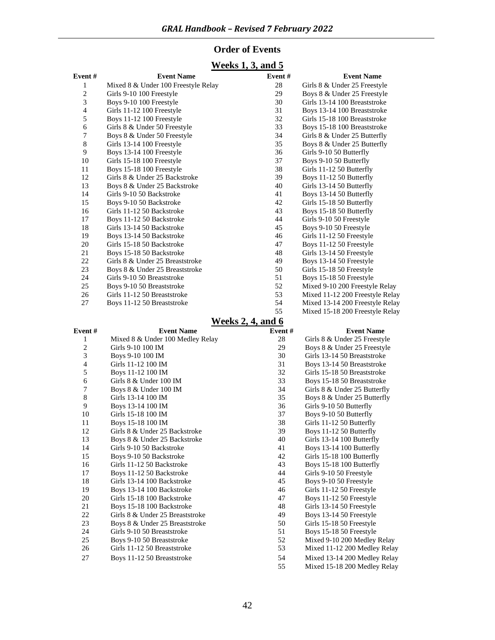#### **Order of Events**

#### **Weeks 1, 3, and 5**

| Event #                  | <b>Event Name</b>                   | Event# | <b>Event Name</b>               |
|--------------------------|-------------------------------------|--------|---------------------------------|
| 1                        | Mixed 8 & Under 100 Freestyle Relay | 28     | Girls 8 & Under 25 Freestyle    |
| $\overline{c}$           | Girls 9-10 100 Freestyle            | 29     | Boys 8 & Under 25 Freestyle     |
| 3                        | Boys 9-10 100 Freestyle             | 30     | Girls 13-14 100 Breaststroke    |
| $\overline{\mathcal{A}}$ | Girls 11-12 100 Freestyle           | 31     | Boys 13-14 100 Breaststroke     |
| 5                        | Boys 11-12 100 Freestyle            | 32     | Girls 15-18 100 Breaststroke    |
| 6                        | Girls 8 & Under 50 Freestyle        | 33     | Boys 15-18 100 Breaststroke     |
| 7                        | Boys 8 & Under 50 Freestyle         | 34     | Girls 8 & Under 25 Butterfly    |
| $8\,$                    | Girls 13-14 100 Freestyle           | 35     | Boys 8 & Under 25 Butterfly     |
| 9                        | Boys 13-14 100 Freestyle            | 36     | Girls 9-10 50 Butterfly         |
| 10                       | Girls 15-18 100 Freestyle           | 37     | Boys 9-10 50 Butterfly          |
| 11                       | Boys 15-18 100 Freestyle            | 38     | Girls 11-12 50 Butterfly        |
| 12                       | Girls 8 & Under 25 Backstroke       | 39     | Boys 11-12 50 Butterfly         |
| 13                       | Boys 8 & Under 25 Backstroke        | 40     | Girls 13-14 50 Butterfly        |
| 14                       | Girls 9-10 50 Backstroke            | 41     | Boys 13-14 50 Butterfly         |
| 15                       | Boys 9-10 50 Backstroke             | 42     | Girls 15-18 50 Butterfly        |
| 16                       | Girls 11-12 50 Backstroke           | 43     | Boys 15-18 50 Butterfly         |
| 17                       | Boys 11-12 50 Backstroke            | 44     | Girls 9-10 50 Freestyle         |
| 18                       | Girls 13-14 50 Backstroke           | 45     | Boys 9-10 50 Freestyle          |
| 19                       | Boys 13-14 50 Backstroke            | 46     | Girls 11-12 50 Freestyle        |
| 20                       | Girls 15-18 50 Backstroke           | 47     | Boys 11-12 50 Freestyle         |
| 21                       | Boys 15-18 50 Backstroke            | 48     | Girls 13-14 50 Freestyle        |
| 22                       | Girls 8 & Under 25 Breaststroke     | 49     | Boys 13-14 50 Freestyle         |
| 23                       | Boys 8 & Under 25 Breaststroke      | 50     | Girls 15-18 50 Freestyle        |
| 24                       | Girls 9-10 50 Breaststroke          | 51     | Boys 15-18 50 Freestyle         |
| 25                       | Boys 9-10 50 Breaststroke           | 52     | Mixed 9-10 200 Freestyle Relay  |
| 26                       | Girls 11-12 50 Breaststroke         | 53     | Mixed 11-12 200 Freestyle Relay |
| 27                       | Boys 11-12 50 Breaststroke          | 54     | Mixed 13-14 200 Freestyle Relay |
|                          |                                     | 55     | Mixed 15-18 200 Freestyle Relay |

#### **Weeks 2, 4, and 6**

| Event#         | <b>Event Name</b>                | Event $#$ | <b>Event Name</b>            |
|----------------|----------------------------------|-----------|------------------------------|
| 1              | Mixed 8 & Under 100 Medley Relay | 28        | Girls 8 & Under 25 Freestyle |
| 2              | Girls 9-10 100 IM                | 29        | Boys 8 & Under 25 Freestyle  |
| 3              | Boys 9-10 100 IM                 | 30        | Girls 13-14 50 Breaststroke  |
| $\overline{4}$ | Girls 11-12 100 IM               | 31        | Boys 13-14 50 Breaststroke   |
| 5              | Boys 11-12 100 IM                | 32        | Girls 15-18 50 Breaststroke  |
| 6              | Girls 8 & Under 100 IM           | 33        | Boys 15-18 50 Breaststroke   |
| 7              | Boys 8 & Under 100 IM            | 34        | Girls 8 & Under 25 Butterfly |
| 8              | Girls 13-14 100 IM               | 35        | Boys 8 & Under 25 Butterfly  |
| 9              | Boys 13-14 100 IM                | 36        | Girls 9-10 50 Butterfly      |
| 10             | Girls 15-18 100 IM               | 37        | Boys 9-10 50 Butterfly       |
| 11             | Boys 15-18 100 IM                | 38        | Girls 11-12 50 Butterfly     |
| 12             | Girls 8 & Under 25 Backstroke    | 39        | Boys 11-12 50 Butterfly      |
| 13             | Boys 8 & Under 25 Backstroke     | 40        | Girls 13-14 100 Butterfly    |
| 14             | Girls 9-10 50 Backstroke         | 41        | Boys 13-14 100 Butterfly     |
| 15             | Boys 9-10 50 Backstroke          | 42        | Girls 15-18 100 Butterfly    |
| 16             | Girls 11-12 50 Backstroke        | 43        | Boys 15-18 100 Butterfly     |
| 17             | Boys 11-12 50 Backstroke         | 44        | Girls 9-10 50 Freestyle      |
| 18             | Girls 13-14 100 Backstroke       | 45        | Boys 9-10 50 Freestyle       |
| 19             | Boys 13-14 100 Backstroke        | 46        | Girls 11-12 50 Freestyle     |
| 20             | Girls 15-18 100 Backstroke       | 47        | Boys 11-12 50 Freestyle      |
| 21             | Boys 15-18 100 Backstroke        | 48        | Girls 13-14 50 Freestyle     |
| 22             | Girls 8 & Under 25 Breaststroke  | 49        | Boys 13-14 50 Freestyle      |
| 23             | Boys 8 & Under 25 Breaststroke   | 50        | Girls 15-18 50 Freestyle     |
| 24             | Girls 9-10 50 Breaststroke       | 51        | Boys 15-18 50 Freestyle      |
| 25             | Boys 9-10 50 Breaststroke        | 52        | Mixed 9-10 200 Medley Relay  |
| 26             | Girls 11-12 50 Breaststroke      | 53        | Mixed 11-12 200 Medley Relay |
| 27             | Boys 11-12 50 Breaststroke       | 54        | Mixed 13-14 200 Medley Relay |
|                |                                  | 55        | Mixed 15-18 200 Medley Relay |
|                |                                  |           |                              |